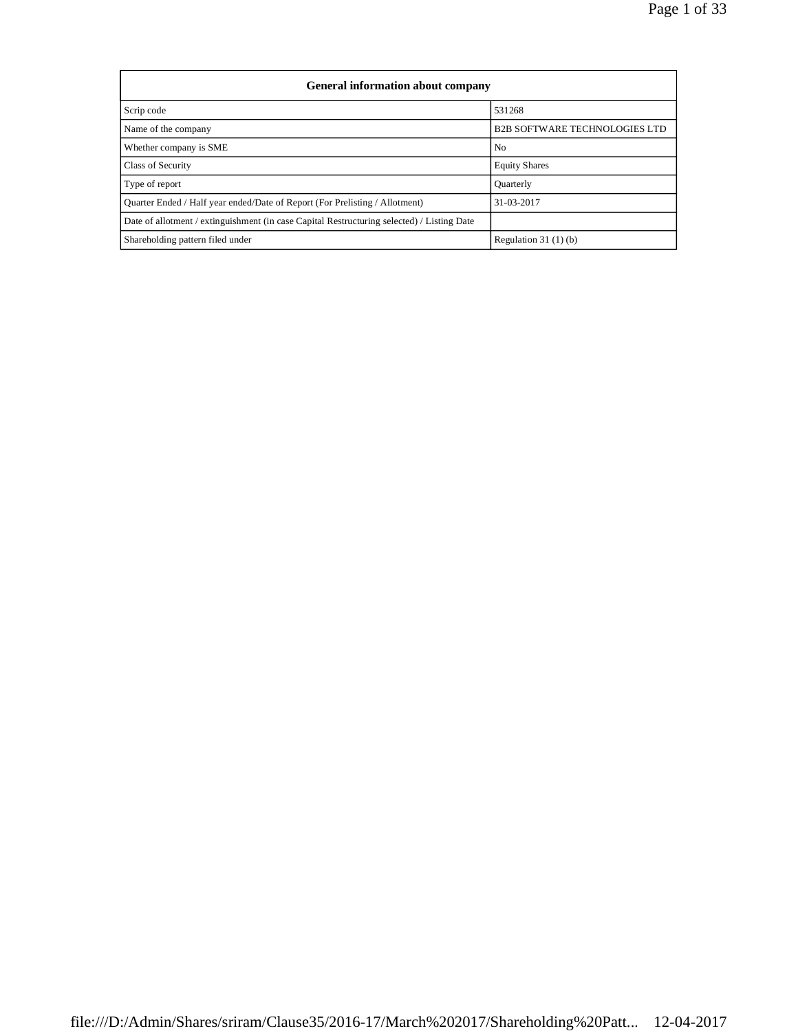| General information about company                                                          |                                      |  |  |  |  |  |
|--------------------------------------------------------------------------------------------|--------------------------------------|--|--|--|--|--|
| Scrip code                                                                                 | 531268                               |  |  |  |  |  |
| Name of the company                                                                        | <b>B2B SOFTWARE TECHNOLOGIES LTD</b> |  |  |  |  |  |
| Whether company is SME                                                                     | No                                   |  |  |  |  |  |
| Class of Security                                                                          | <b>Equity Shares</b>                 |  |  |  |  |  |
| Type of report                                                                             | <b>Ouarterly</b>                     |  |  |  |  |  |
| Ouarter Ended / Half year ended/Date of Report (For Prelisting / Allotment)                | 31-03-2017                           |  |  |  |  |  |
| Date of allotment / extinguishment (in case Capital Restructuring selected) / Listing Date |                                      |  |  |  |  |  |
| Shareholding pattern filed under                                                           | Regulation $31(1)(b)$                |  |  |  |  |  |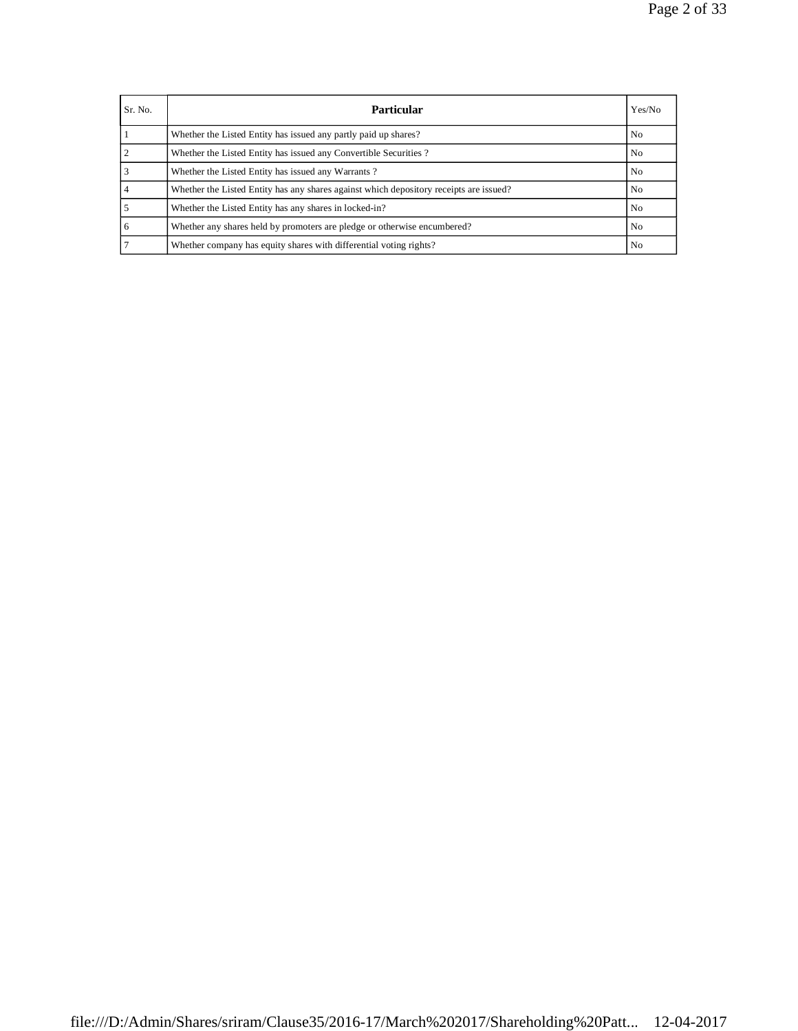| Sr. No. | <b>Particular</b>                                                                      | Yes/No |
|---------|----------------------------------------------------------------------------------------|--------|
|         | Whether the Listed Entity has issued any partly paid up shares?                        | No     |
|         | Whether the Listed Entity has issued any Convertible Securities?                       | No.    |
|         | Whether the Listed Entity has issued any Warrants?                                     | No     |
|         | Whether the Listed Entity has any shares against which depository receipts are issued? | No.    |
|         | Whether the Listed Entity has any shares in locked-in?                                 | No     |
| 6       | Whether any shares held by promoters are pledge or otherwise encumbered?               | No     |
|         | Whether company has equity shares with differential voting rights?                     | No.    |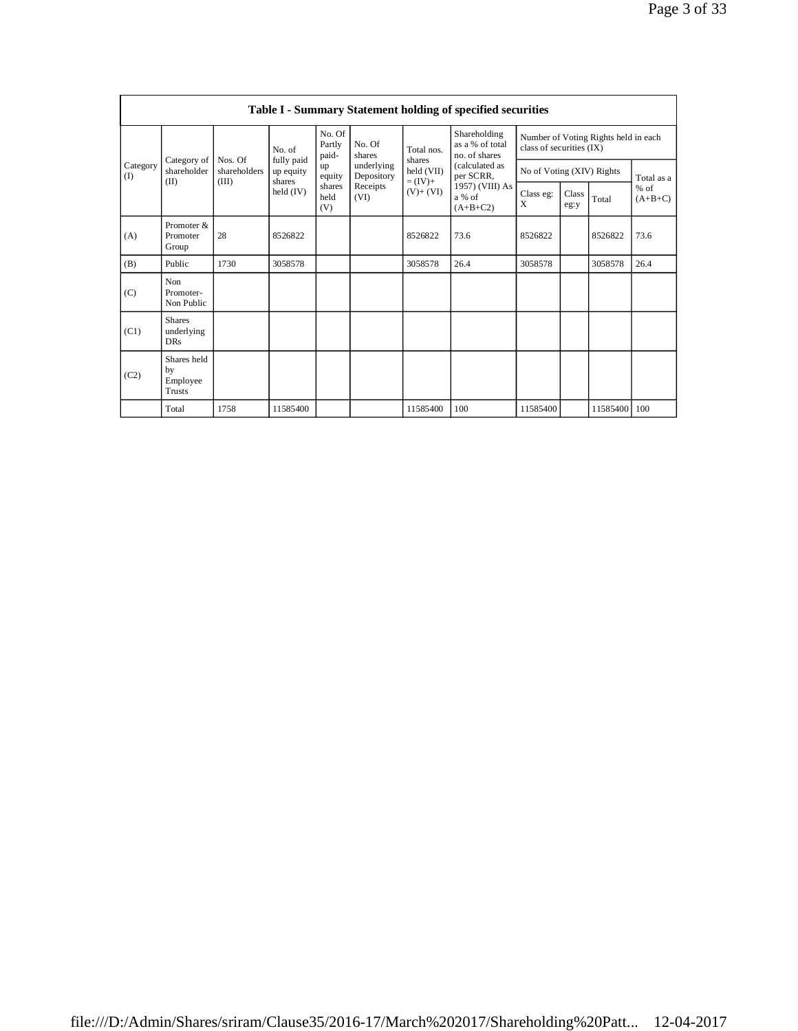|                                                       | Table I - Summary Statement holding of specified securities |                         |                           |                          |                      |                                                  |                                                                  |                |               |                |                     |
|-------------------------------------------------------|-------------------------------------------------------------|-------------------------|---------------------------|--------------------------|----------------------|--------------------------------------------------|------------------------------------------------------------------|----------------|---------------|----------------|---------------------|
| Category of<br>Category<br>shareholder<br>(1)<br>(II) |                                                             | No. of<br>Nos. Of       | No. Of<br>Partly<br>paid- | No. Of<br>shares         | Total nos.           | Shareholding<br>as a % of total<br>no. of shares | Number of Voting Rights held in each<br>class of securities (IX) |                |               |                |                     |
|                                                       | shareholders                                                | fully paid<br>up equity | up<br>equity              | underlying<br>Depository | shares<br>held (VII) | (calculated as<br>per SCRR,                      | No of Voting (XIV) Rights                                        |                |               | Total as a     |                     |
|                                                       |                                                             | (III)                   | shares<br>held $(IV)$     | shares<br>held<br>(V)    | Receipts<br>(VI)     | $= (IV) +$<br>$(V)+(VI)$                         | 1957) (VIII) As<br>a % of<br>$(A+B+C2)$                          | Class eg:<br>X | Class<br>eg:y | Total          | $%$ of<br>$(A+B+C)$ |
| (A)                                                   | Promoter &<br>Promoter<br>Group                             | 28                      | 8526822                   |                          |                      | 8526822                                          | 73.6                                                             | 8526822        |               | 8526822        | 73.6                |
| (B)                                                   | Public                                                      | 1730                    | 3058578                   |                          |                      | 3058578                                          | 26.4                                                             | 3058578        |               | 3058578        | 26.4                |
| (C)                                                   | Non<br>Promoter-<br>Non Public                              |                         |                           |                          |                      |                                                  |                                                                  |                |               |                |                     |
| (C1)                                                  | <b>Shares</b><br>underlying<br><b>DRs</b>                   |                         |                           |                          |                      |                                                  |                                                                  |                |               |                |                     |
| (C2)                                                  | Shares held<br>by<br>Employee<br><b>Trusts</b>              |                         |                           |                          |                      |                                                  |                                                                  |                |               |                |                     |
|                                                       | Total                                                       | 1758                    | 11585400                  |                          |                      | 11585400                                         | 100                                                              | 11585400       |               | 11585400   100 |                     |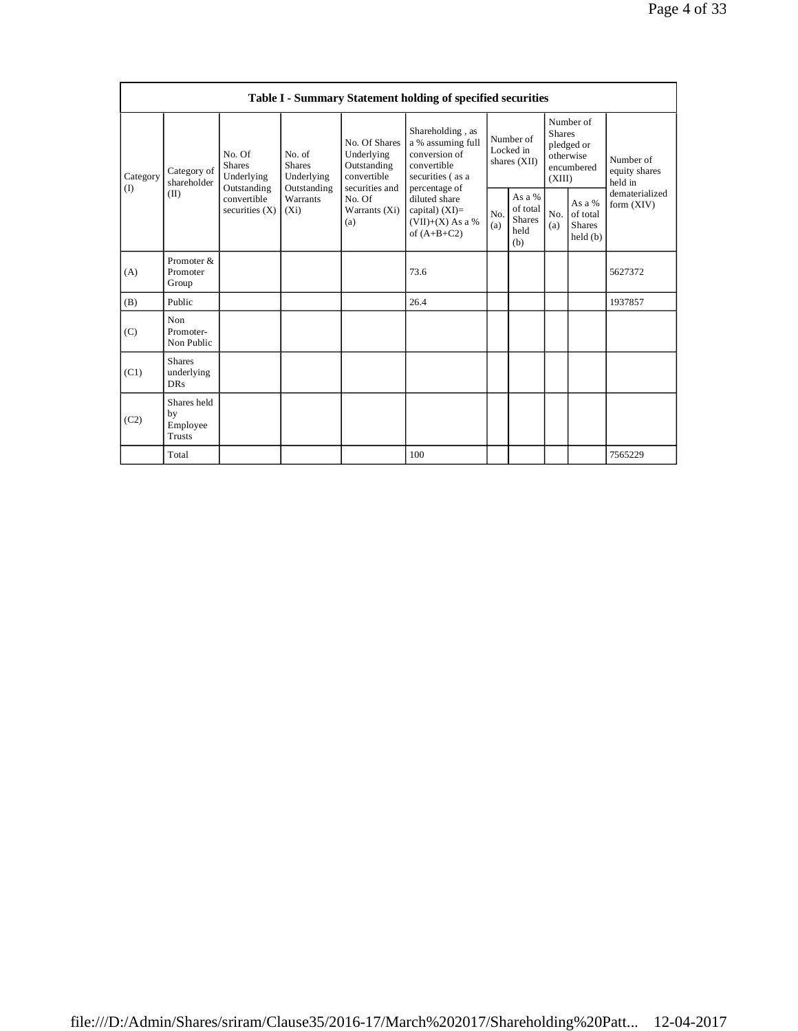|                 | Table I - Summary Statement holding of specified securities |                                                                                         |                                                                             |                                                                                                               |                                                                                                            |                                        |                                                    |                                                                               |                                                |                                       |
|-----------------|-------------------------------------------------------------|-----------------------------------------------------------------------------------------|-----------------------------------------------------------------------------|---------------------------------------------------------------------------------------------------------------|------------------------------------------------------------------------------------------------------------|----------------------------------------|----------------------------------------------------|-------------------------------------------------------------------------------|------------------------------------------------|---------------------------------------|
| Category<br>(I) | Category of<br>shareholder<br>(II)                          | No. Of<br><b>Shares</b><br>Underlying<br>Outstanding<br>convertible<br>securities $(X)$ | No. of<br><b>Shares</b><br>Underlying<br>Outstanding<br>Warrants<br>$(X_i)$ | No. Of Shares<br>Underlying<br>Outstanding<br>convertible<br>securities and<br>No. Of<br>Warrants (Xi)<br>(a) | Shareholding, as<br>a % assuming full<br>conversion of<br>convertible<br>securities (as a<br>percentage of | Number of<br>Locked in<br>shares (XII) |                                                    | Number of<br><b>Shares</b><br>pledged or<br>otherwise<br>encumbered<br>(XIII) |                                                | Number of<br>equity shares<br>held in |
|                 |                                                             |                                                                                         |                                                                             |                                                                                                               | diluted share<br>capital) $(XI)$ =<br>$(VII)+(X)$ As a %<br>of $(A+B+C2)$                                  | No.<br>(a)                             | As a %<br>of total<br><b>Shares</b><br>held<br>(b) | No.<br>(a)                                                                    | As a %<br>of total<br><b>Shares</b><br>held(b) | dematerialized<br>form (XIV)          |
| (A)             | Promoter &<br>Promoter<br>Group                             |                                                                                         |                                                                             |                                                                                                               | 73.6                                                                                                       |                                        |                                                    |                                                                               |                                                | 5627372                               |
| (B)             | Public                                                      |                                                                                         |                                                                             |                                                                                                               | 26.4                                                                                                       |                                        |                                                    |                                                                               |                                                | 1937857                               |
| (C)             | Non<br>Promoter-<br>Non Public                              |                                                                                         |                                                                             |                                                                                                               |                                                                                                            |                                        |                                                    |                                                                               |                                                |                                       |
| (C1)            | <b>Shares</b><br>underlying<br><b>DRs</b>                   |                                                                                         |                                                                             |                                                                                                               |                                                                                                            |                                        |                                                    |                                                                               |                                                |                                       |
| (C2)            | Shares held<br>by<br>Employee<br>Trusts                     |                                                                                         |                                                                             |                                                                                                               |                                                                                                            |                                        |                                                    |                                                                               |                                                |                                       |
|                 | Total                                                       |                                                                                         |                                                                             |                                                                                                               | 100                                                                                                        |                                        |                                                    |                                                                               |                                                | 7565229                               |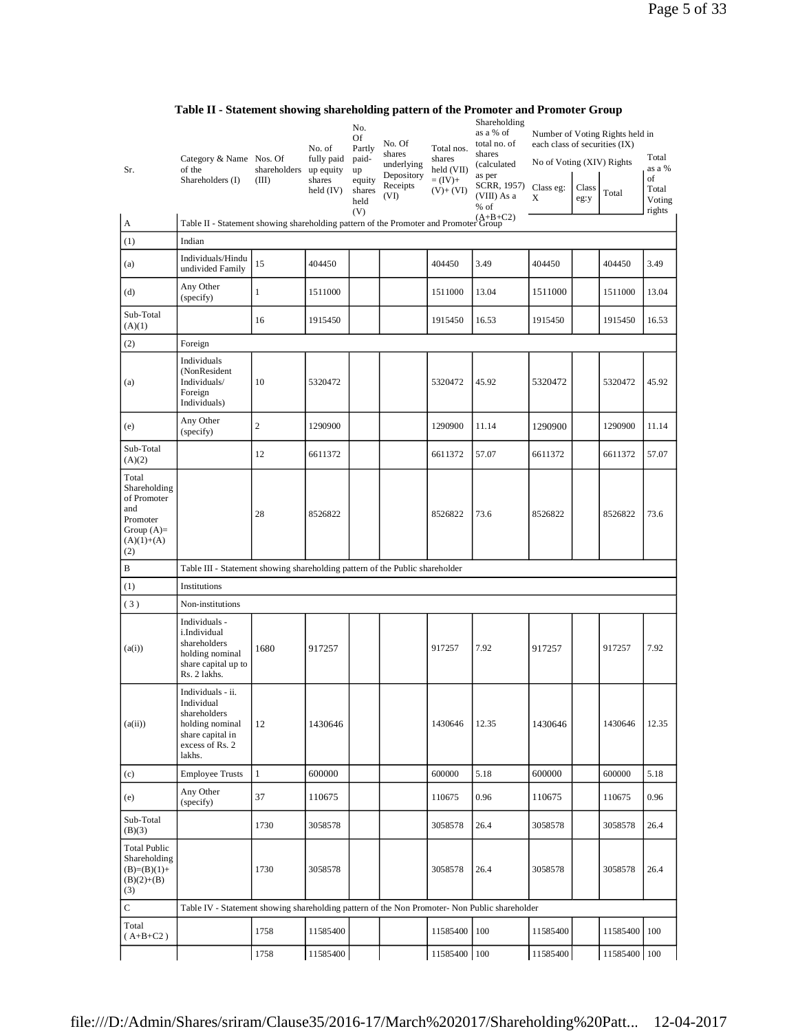| Sr.                                                                                            | Category & Name Nos. Of<br>of the<br>Shareholders (I)                                                               | shareholders<br>(III) | No. of<br>fully paid<br>up equity<br>shares<br>held $(IV)$ | No.<br>Of<br>Partly<br>paid-<br>up<br>equity<br>shares<br>held | No. Of<br>shares<br>underlying<br>Depository<br>Receipts<br>(VI) | Total nos.<br>shares<br>held (VII)<br>$=(IV)+$<br>$(V)+(VI)$ | Shareholding<br>as a % of<br>total no. of<br>shares<br>(calculated<br>as per<br>SCRR, 1957)<br>(VIII) As a<br>$%$ of | each class of securities (IX)<br>No of Voting (XIV) Rights<br>Class eg:<br>X | Class<br>eg:y | Number of Voting Rights held in<br>Total | Total<br>as a %<br>οf<br>Total<br>Voting |
|------------------------------------------------------------------------------------------------|---------------------------------------------------------------------------------------------------------------------|-----------------------|------------------------------------------------------------|----------------------------------------------------------------|------------------------------------------------------------------|--------------------------------------------------------------|----------------------------------------------------------------------------------------------------------------------|------------------------------------------------------------------------------|---------------|------------------------------------------|------------------------------------------|
| A                                                                                              | Table II - Statement showing shareholding pattern of the Promoter and Promoter Group                                |                       |                                                            | (V)                                                            |                                                                  |                                                              |                                                                                                                      |                                                                              |               |                                          | rights                                   |
| (1)                                                                                            | Indian                                                                                                              |                       |                                                            |                                                                |                                                                  |                                                              |                                                                                                                      |                                                                              |               |                                          |                                          |
|                                                                                                | Individuals/Hindu                                                                                                   |                       |                                                            |                                                                |                                                                  |                                                              |                                                                                                                      |                                                                              |               |                                          |                                          |
| (a)                                                                                            | undivided Family                                                                                                    | 15                    | 404450                                                     |                                                                |                                                                  | 404450                                                       | 3.49                                                                                                                 | 404450                                                                       |               | 404450                                   | 3.49                                     |
| (d)                                                                                            | Any Other<br>(specify)                                                                                              | 1                     | 1511000                                                    |                                                                |                                                                  | 1511000                                                      | 13.04                                                                                                                | 1511000                                                                      |               | 1511000                                  | 13.04                                    |
| Sub-Total<br>(A)(1)                                                                            |                                                                                                                     | 16                    | 1915450                                                    |                                                                |                                                                  | 1915450                                                      | 16.53                                                                                                                | 1915450                                                                      |               | 1915450                                  | 16.53                                    |
| (2)                                                                                            | Foreign                                                                                                             |                       |                                                            |                                                                |                                                                  |                                                              |                                                                                                                      |                                                                              |               |                                          |                                          |
| (a)                                                                                            | Individuals<br>(NonResident<br>Individuals/<br>Foreign<br>Individuals)                                              | 10                    | 5320472                                                    |                                                                |                                                                  | 5320472                                                      | 45.92                                                                                                                | 5320472                                                                      |               | 5320472                                  | 45.92                                    |
| (e)                                                                                            | Any Other<br>(specify)                                                                                              | $\overline{c}$        | 1290900                                                    |                                                                |                                                                  | 1290900                                                      | 11.14                                                                                                                | 1290900                                                                      |               | 1290900                                  | 11.14                                    |
| Sub-Total<br>(A)(2)                                                                            |                                                                                                                     | 12                    | 6611372                                                    |                                                                |                                                                  | 6611372                                                      | 57.07                                                                                                                | 6611372                                                                      |               | 6611372                                  | 57.07                                    |
| Total<br>Shareholding<br>of Promoter<br>and<br>Promoter<br>Group $(A)=$<br>$(A)(1)+(A)$<br>(2) |                                                                                                                     | 28                    | 8526822                                                    |                                                                |                                                                  | 8526822                                                      | 73.6                                                                                                                 | 8526822                                                                      |               | 8526822                                  | 73.6                                     |
| B                                                                                              | Table III - Statement showing shareholding pattern of the Public shareholder                                        |                       |                                                            |                                                                |                                                                  |                                                              |                                                                                                                      |                                                                              |               |                                          |                                          |
| (1)                                                                                            | Institutions                                                                                                        |                       |                                                            |                                                                |                                                                  |                                                              |                                                                                                                      |                                                                              |               |                                          |                                          |
| (3)                                                                                            | Non-institutions                                                                                                    |                       |                                                            |                                                                |                                                                  |                                                              |                                                                                                                      |                                                                              |               |                                          |                                          |
| (a(i))                                                                                         | Individuals -<br>i.Individual<br>shareholders<br>holding nominal<br>share capital up to<br>Rs. 2 lakhs.             | 1680                  | 917257                                                     |                                                                |                                                                  | 917257                                                       | 7.92                                                                                                                 | 917257                                                                       |               | 917257                                   | 7.92                                     |
| (a(ii))                                                                                        | Individuals - ii.<br>Individual<br>shareholders<br>holding nominal<br>share capital in<br>excess of Rs. 2<br>lakhs. | 12                    | 1430646                                                    |                                                                |                                                                  | 1430646                                                      | 12.35                                                                                                                | 1430646                                                                      |               | 1430646                                  | 12.35                                    |
| (c)                                                                                            | <b>Employee Trusts</b>                                                                                              | $\mathbf{1}$          | 600000                                                     |                                                                |                                                                  | 600000                                                       | 5.18                                                                                                                 | 600000                                                                       |               | 600000                                   | 5.18                                     |
| (e)                                                                                            | Any Other<br>(specify)                                                                                              | 37                    | 110675                                                     |                                                                |                                                                  | 110675                                                       | 0.96                                                                                                                 | 110675                                                                       |               | 110675                                   | 0.96                                     |
| Sub-Total<br>(B)(3)                                                                            |                                                                                                                     | 1730                  | 3058578                                                    |                                                                |                                                                  | 3058578                                                      | 26.4                                                                                                                 | 3058578                                                                      |               | 3058578                                  | 26.4                                     |
| <b>Total Public</b><br>Shareholding<br>$(B)=(B)(1)+$<br>$(B)(2)+(B)$<br>(3)                    |                                                                                                                     | 1730                  | 3058578                                                    |                                                                |                                                                  | 3058578                                                      | 26.4                                                                                                                 | 3058578                                                                      |               | 3058578                                  | 26.4                                     |
| $\mathbf C$                                                                                    | Table IV - Statement showing shareholding pattern of the Non Promoter- Non Public shareholder                       |                       |                                                            |                                                                |                                                                  |                                                              |                                                                                                                      |                                                                              |               |                                          |                                          |
| Total<br>$(A+B+C2)$                                                                            |                                                                                                                     | 1758                  | 11585400                                                   |                                                                |                                                                  | 11585400                                                     | 100                                                                                                                  | 11585400                                                                     |               | 11585400                                 | 100                                      |
|                                                                                                |                                                                                                                     | 1758                  | 11585400                                                   |                                                                |                                                                  | 11585400                                                     | 100                                                                                                                  | 11585400                                                                     |               | 11585400                                 | 100                                      |

**Table II - Statement showing shareholding pattern of the Promoter and Promoter Group**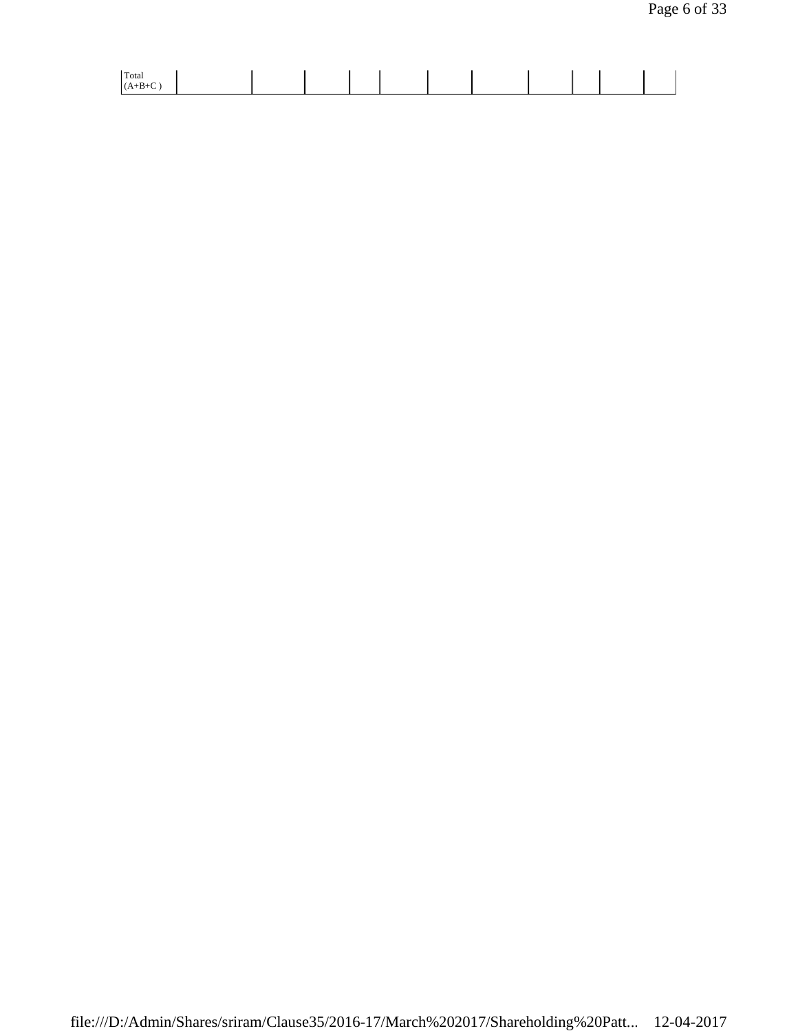| Total |  |
|-------|--|
|-------|--|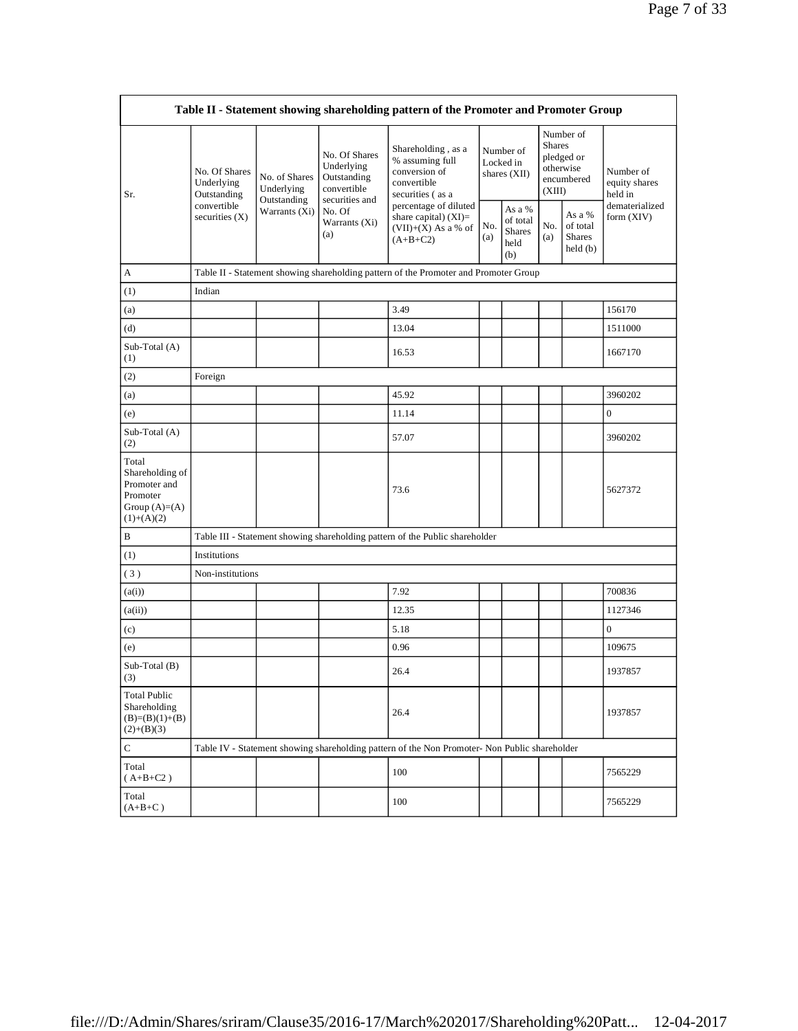| Table II - Statement showing shareholding pattern of the Promoter and Promoter Group    |                                            |                                                             |                                                                                                               |                                                                                               |            |                                                    |            |                                                                               |                                       |  |
|-----------------------------------------------------------------------------------------|--------------------------------------------|-------------------------------------------------------------|---------------------------------------------------------------------------------------------------------------|-----------------------------------------------------------------------------------------------|------------|----------------------------------------------------|------------|-------------------------------------------------------------------------------|---------------------------------------|--|
| Sr.                                                                                     | No. Of Shares<br>Underlying<br>Outstanding | No. of Shares<br>Underlying<br>Outstanding<br>Warrants (Xi) | No. Of Shares<br>Underlying<br>Outstanding<br>convertible<br>securities and<br>No. Of<br>Warrants (Xi)<br>(a) | Shareholding, as a<br>% assuming full<br>conversion of<br>convertible<br>securities (as a     |            | Number of<br>Locked in<br>shares (XII)             |            | Number of<br><b>Shares</b><br>pledged or<br>otherwise<br>encumbered<br>(XIII) | Number of<br>equity shares<br>held in |  |
|                                                                                         | convertible<br>securities $(X)$            |                                                             |                                                                                                               | percentage of diluted<br>share capital) $(XI)$ =<br>$(VII)+(X)$ As a % of<br>$(A+B+C2)$       | No.<br>(a) | As a %<br>of total<br><b>Shares</b><br>held<br>(b) | No.<br>(a) | As a %<br>of total<br><b>Shares</b><br>held(b)                                | dematerialized<br>form (XIV)          |  |
| А                                                                                       |                                            |                                                             |                                                                                                               | Table II - Statement showing shareholding pattern of the Promoter and Promoter Group          |            |                                                    |            |                                                                               |                                       |  |
| (1)                                                                                     | Indian                                     |                                                             |                                                                                                               |                                                                                               |            |                                                    |            |                                                                               |                                       |  |
| (a)                                                                                     |                                            |                                                             |                                                                                                               | 3.49                                                                                          |            |                                                    |            |                                                                               | 156170                                |  |
| (d)                                                                                     |                                            |                                                             |                                                                                                               | 13.04                                                                                         |            |                                                    |            |                                                                               | 1511000                               |  |
| Sub-Total (A)<br>(1)                                                                    |                                            |                                                             |                                                                                                               | 16.53                                                                                         |            |                                                    |            |                                                                               | 1667170                               |  |
| (2)                                                                                     | Foreign                                    |                                                             |                                                                                                               |                                                                                               |            |                                                    |            |                                                                               |                                       |  |
| (a)                                                                                     |                                            |                                                             |                                                                                                               | 45.92                                                                                         |            |                                                    |            |                                                                               | 3960202                               |  |
| (e)                                                                                     |                                            |                                                             |                                                                                                               | 11.14                                                                                         |            |                                                    |            |                                                                               | $\boldsymbol{0}$                      |  |
| Sub-Total (A)<br>(2)                                                                    |                                            |                                                             |                                                                                                               | 57.07                                                                                         |            |                                                    |            |                                                                               | 3960202                               |  |
| Total<br>Shareholding of<br>Promoter and<br>Promoter<br>Group $(A)=(A)$<br>$(1)+(A)(2)$ |                                            |                                                             |                                                                                                               | 73.6                                                                                          |            |                                                    |            |                                                                               | 5627372                               |  |
| B                                                                                       |                                            |                                                             |                                                                                                               | Table III - Statement showing shareholding pattern of the Public shareholder                  |            |                                                    |            |                                                                               |                                       |  |
| (1)                                                                                     | Institutions                               |                                                             |                                                                                                               |                                                                                               |            |                                                    |            |                                                                               |                                       |  |
| (3)                                                                                     | Non-institutions                           |                                                             |                                                                                                               |                                                                                               |            |                                                    |            |                                                                               |                                       |  |
| (a(i))                                                                                  |                                            |                                                             |                                                                                                               | 7.92                                                                                          |            |                                                    |            |                                                                               | 700836                                |  |
| (a(ii))                                                                                 |                                            |                                                             |                                                                                                               | 12.35                                                                                         |            |                                                    |            |                                                                               | 1127346                               |  |
| (c)                                                                                     |                                            |                                                             |                                                                                                               | 5.18                                                                                          |            |                                                    |            |                                                                               | $\mathbf{0}$                          |  |
| (e)                                                                                     |                                            |                                                             |                                                                                                               | 0.96                                                                                          |            |                                                    |            |                                                                               | 109675                                |  |
| Sub-Total (B)<br>(3)                                                                    |                                            |                                                             |                                                                                                               | 26.4                                                                                          |            |                                                    |            |                                                                               | 1937857                               |  |
| <b>Total Public</b><br>Shareholding<br>$(B)=(B)(1)+(B)$<br>$(2)+(B)(3)$                 |                                            |                                                             |                                                                                                               | 26.4                                                                                          |            |                                                    |            |                                                                               | 1937857                               |  |
| ${\bf C}$                                                                               |                                            |                                                             |                                                                                                               | Table IV - Statement showing shareholding pattern of the Non Promoter- Non Public shareholder |            |                                                    |            |                                                                               |                                       |  |
| Total<br>$(A+B+C2)$                                                                     |                                            |                                                             |                                                                                                               | 100                                                                                           |            |                                                    |            |                                                                               | 7565229                               |  |
| Total<br>$(A+B+C)$                                                                      |                                            |                                                             |                                                                                                               | 100                                                                                           |            |                                                    |            |                                                                               | 7565229                               |  |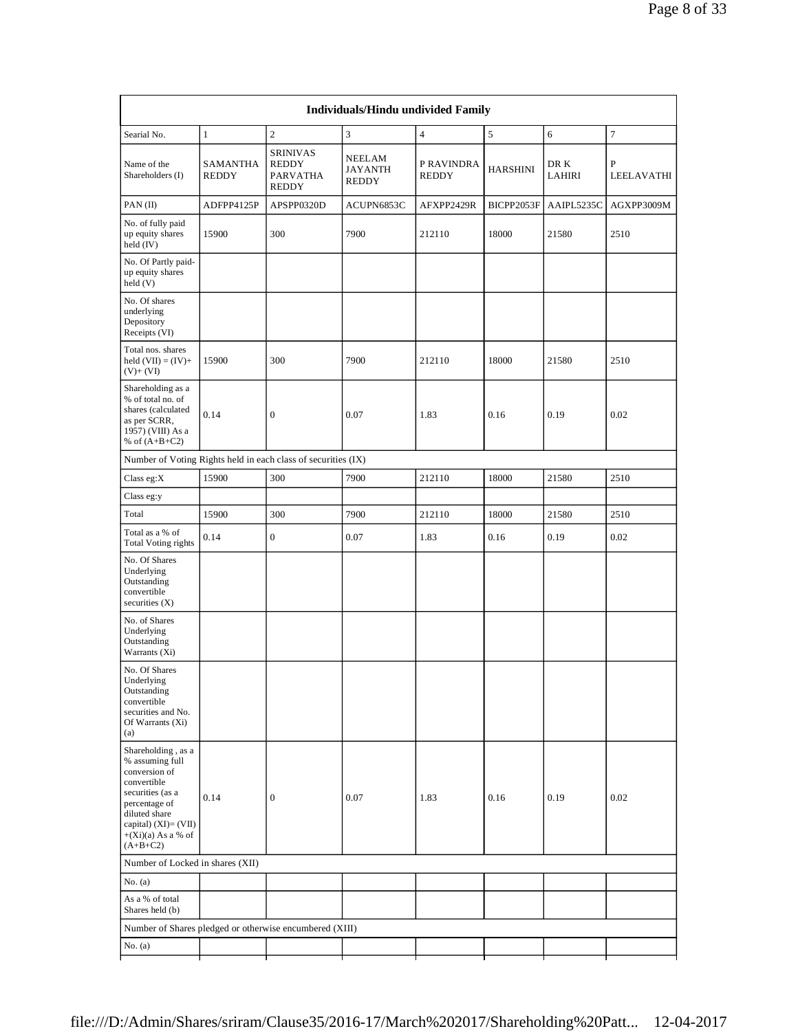| Searial No.                                                                                                                                                                                  | $\mathbf{1}$                    | $\overline{c}$                                          | 3                                        | $\overline{4}$             | 5               | 6              | $\tau$          |
|----------------------------------------------------------------------------------------------------------------------------------------------------------------------------------------------|---------------------------------|---------------------------------------------------------|------------------------------------------|----------------------------|-----------------|----------------|-----------------|
| Name of the<br>Shareholders (I)                                                                                                                                                              | <b>SAMANTHA</b><br><b>REDDY</b> | <b>SRINIVAS</b><br>REDDY<br>PARVATHA<br><b>REDDY</b>    | NEELAM<br><b>JAYANTH</b><br><b>REDDY</b> | P RAVINDRA<br><b>REDDY</b> | <b>HARSHINI</b> | DR K<br>LAHIRI | P<br>LEELAVATHI |
| PAN(II)                                                                                                                                                                                      | ADFPP4125P                      | APSPP0320D                                              | ACUPN6853C                               | AFXPP2429R                 | BICPP2053F      | AAIPL5235C     | AGXPP3009M      |
| No. of fully paid<br>up equity shares<br>held (IV)                                                                                                                                           | 15900                           | 300                                                     | 7900                                     | 212110                     | 18000           | 21580          | 2510            |
| No. Of Partly paid-<br>up equity shares<br>held(V)                                                                                                                                           |                                 |                                                         |                                          |                            |                 |                |                 |
| No. Of shares<br>underlying<br>Depository<br>Receipts (VI)                                                                                                                                   |                                 |                                                         |                                          |                            |                 |                |                 |
| Total nos. shares<br>held $(VII) = (IV) +$<br>$(V)$ + $(VI)$                                                                                                                                 | 15900                           | 300                                                     | 7900                                     | 212110                     | 18000           | 21580          | 2510            |
| Shareholding as a<br>% of total no. of<br>shares (calculated<br>as per SCRR,<br>1957) (VIII) As a<br>% of $(A+B+C2)$                                                                         | 0.14                            | $\overline{0}$                                          | 0.07                                     | 1.83                       | 0.16            | 0.19           | 0.02            |
| Number of Voting Rights held in each class of securities (IX)                                                                                                                                |                                 |                                                         |                                          |                            |                 |                |                 |
| Class eg:X                                                                                                                                                                                   | 15900                           | 300                                                     | 7900                                     | 212110                     | 18000           | 21580          | 2510            |
| Class eg:y                                                                                                                                                                                   |                                 |                                                         |                                          |                            |                 |                |                 |
| Total                                                                                                                                                                                        | 15900                           | 300                                                     | 7900                                     | 212110                     | 18000           | 21580          | 2510            |
| Total as a % of<br><b>Total Voting rights</b>                                                                                                                                                | 0.14                            | $\overline{0}$                                          | 0.07                                     | 1.83                       | 0.16            | 0.19           | 0.02            |
| No. Of Shares<br>Underlying<br>Outstanding<br>convertible<br>securities (X)                                                                                                                  |                                 |                                                         |                                          |                            |                 |                |                 |
| No. of Shares<br>Underlying<br>Outstanding<br>Warrants (Xi)                                                                                                                                  |                                 |                                                         |                                          |                            |                 |                |                 |
| No. Of Shares<br>Underlying<br>Outstanding<br>convertible<br>securities and No.<br>Of Warrants (Xi)<br>(a)                                                                                   |                                 |                                                         |                                          |                            |                 |                |                 |
| Shareholding, as a<br>% assuming full<br>conversion of<br>convertible<br>securities (as a<br>percentage of<br>diluted share<br>capital) $(XI) = (VII)$<br>$+(Xi)(a)$ As a % of<br>$(A+B+C2)$ | 0.14                            | $\boldsymbol{0}$                                        | 0.07                                     | 1.83                       | 0.16            | 0.19           | 0.02            |
| Number of Locked in shares (XII)                                                                                                                                                             |                                 |                                                         |                                          |                            |                 |                |                 |
| No. (a)                                                                                                                                                                                      |                                 |                                                         |                                          |                            |                 |                |                 |
| As a % of total<br>Shares held (b)                                                                                                                                                           |                                 |                                                         |                                          |                            |                 |                |                 |
|                                                                                                                                                                                              |                                 | Number of Shares pledged or otherwise encumbered (XIII) |                                          |                            |                 |                |                 |
|                                                                                                                                                                                              |                                 |                                                         |                                          |                            |                 |                |                 |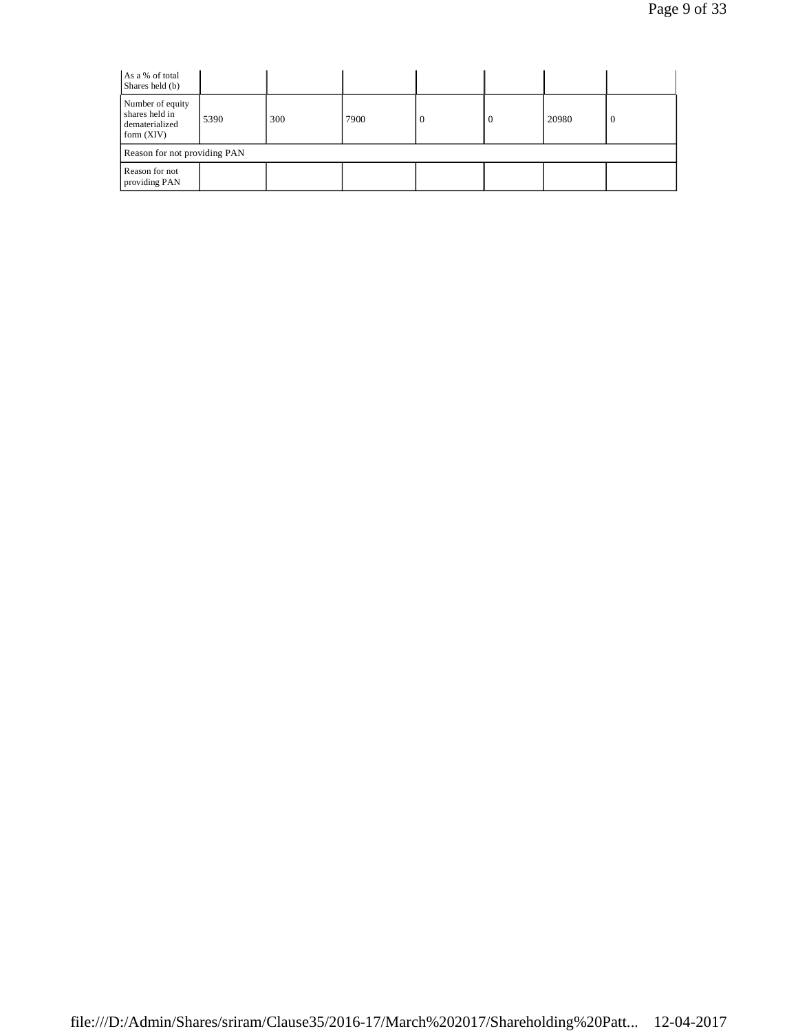| As a % of total<br>Shares held (b)                                   |                              |     |      |   |          |       |          |  |
|----------------------------------------------------------------------|------------------------------|-----|------|---|----------|-------|----------|--|
| Number of equity<br>shares held in<br>dematerialized<br>form $(XIV)$ | 5390                         | 300 | 7900 | 0 | $\theta$ | 20980 | $\theta$ |  |
|                                                                      | Reason for not providing PAN |     |      |   |          |       |          |  |
| Reason for not<br>providing PAN                                      |                              |     |      |   |          |       |          |  |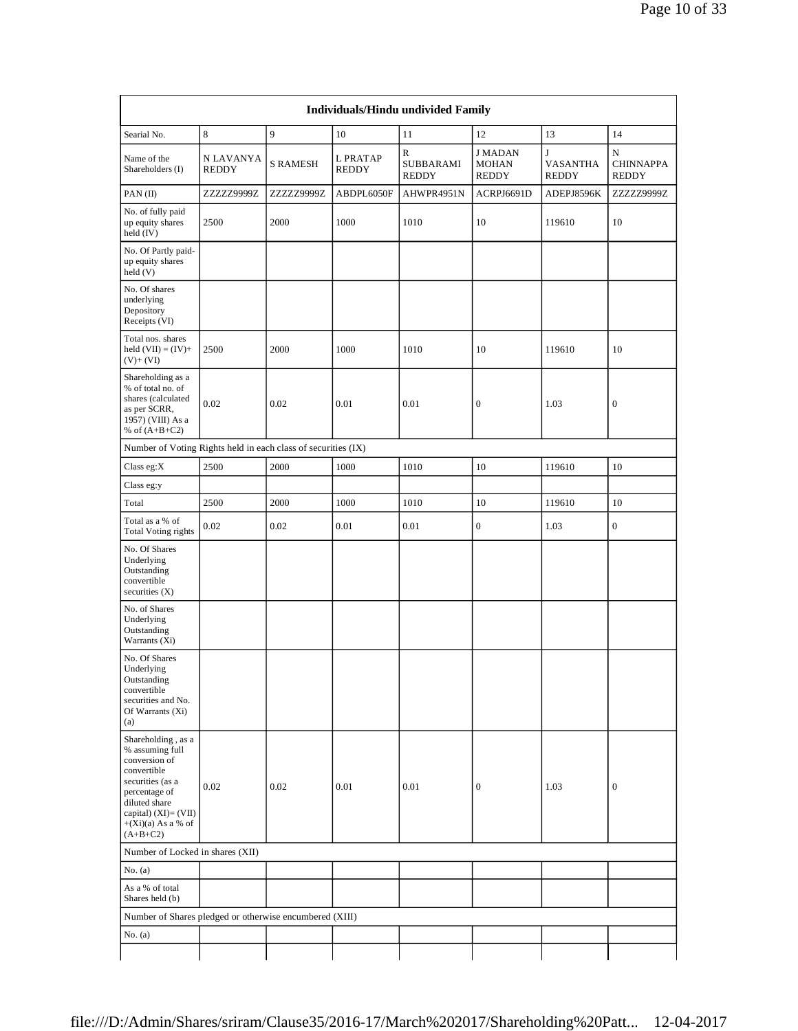| Searial No.                                                                                                                                                                                  | 8                         | 9               | 10                       | 11                                     | 12                                             | 13                                       | 14                                    |
|----------------------------------------------------------------------------------------------------------------------------------------------------------------------------------------------|---------------------------|-----------------|--------------------------|----------------------------------------|------------------------------------------------|------------------------------------------|---------------------------------------|
| Name of the<br>Shareholders (I)                                                                                                                                                              | N LAVANYA<br><b>REDDY</b> | <b>S RAMESH</b> | L PRATAP<br><b>REDDY</b> | ${\bf R}$<br>SUBBARAMI<br><b>REDDY</b> | <b>J MADAN</b><br><b>MOHAN</b><br><b>REDDY</b> | $\mathbf{J}$<br>VASANTHA<br><b>REDDY</b> | N<br><b>CHINNAPPA</b><br><b>REDDY</b> |
| PAN(II)                                                                                                                                                                                      | ZZZZZ9999Z                | ZZZZZ9999Z      | ABDPL6050F               | AHWPR4951N                             | ACRPJ6691D                                     | ADEPJ8596K                               | ZZZZZ9999Z                            |
| No. of fully paid<br>up equity shares<br>held $(IV)$                                                                                                                                         | 2500                      | 2000            | 1000                     | 1010                                   | 10                                             | 119610                                   | 10                                    |
| No. Of Partly paid-<br>up equity shares<br>held (V)                                                                                                                                          |                           |                 |                          |                                        |                                                |                                          |                                       |
| No. Of shares<br>underlying<br>Depository<br>Receipts (VI)                                                                                                                                   |                           |                 |                          |                                        |                                                |                                          |                                       |
| Total nos. shares<br>held $(VII) = (IV) +$<br>$(V)+(VI)$                                                                                                                                     | 2500                      | 2000            | 1000                     | 1010                                   | 10                                             | 119610                                   | 10                                    |
| Shareholding as a<br>% of total no. of<br>shares (calculated<br>as per SCRR,<br>1957) (VIII) As a<br>% of $(A+B+C2)$                                                                         | 0.02                      | 0.02            | 0.01                     | 0.01                                   | $\boldsymbol{0}$                               | 1.03                                     | $\mathbf{0}$                          |
| Number of Voting Rights held in each class of securities (IX)                                                                                                                                |                           |                 |                          |                                        |                                                |                                          |                                       |
| Class eg: $X$                                                                                                                                                                                | 2500                      | 2000            | 1000                     | 1010                                   | 10                                             | 119610                                   | 10                                    |
| Class eg:y                                                                                                                                                                                   |                           |                 |                          |                                        |                                                |                                          |                                       |
| Total                                                                                                                                                                                        | 2500                      | 2000            | 1000                     | 1010                                   | 10                                             | 119610                                   | 10                                    |
| Total as a % of<br>Total Voting rights                                                                                                                                                       | 0.02                      | 0.02            | 0.01                     | 0.01                                   | $\boldsymbol{0}$                               | 1.03                                     | $\boldsymbol{0}$                      |
| No. Of Shares<br>Underlying<br>Outstanding<br>convertible<br>securities $(X)$                                                                                                                |                           |                 |                          |                                        |                                                |                                          |                                       |
| No. of Shares<br>Underlying<br>Outstanding<br>Warrants (Xi)                                                                                                                                  |                           |                 |                          |                                        |                                                |                                          |                                       |
| No. Of Shares<br>Underlying<br>Outstanding<br>convertible<br>securities and No.<br>Of Warrants (Xi)<br>(a)                                                                                   |                           |                 |                          |                                        |                                                |                                          |                                       |
| Shareholding, as a<br>% assuming full<br>conversion of<br>convertible<br>securities (as a<br>percentage of<br>diluted share<br>capital) $(XI) = (VII)$<br>$+(Xi)(a)$ As a % of<br>$(A+B+C2)$ | 0.02                      | 0.02            | 0.01                     | 0.01                                   | $\boldsymbol{0}$                               | 1.03                                     | $\boldsymbol{0}$                      |
| Number of Locked in shares (XII)                                                                                                                                                             |                           |                 |                          |                                        |                                                |                                          |                                       |
| No. (a)                                                                                                                                                                                      |                           |                 |                          |                                        |                                                |                                          |                                       |
| As a % of total<br>Shares held (b)                                                                                                                                                           |                           |                 |                          |                                        |                                                |                                          |                                       |
| Number of Shares pledged or otherwise encumbered (XIII)                                                                                                                                      |                           |                 |                          |                                        |                                                |                                          |                                       |
| No. (a)                                                                                                                                                                                      |                           |                 |                          |                                        |                                                |                                          |                                       |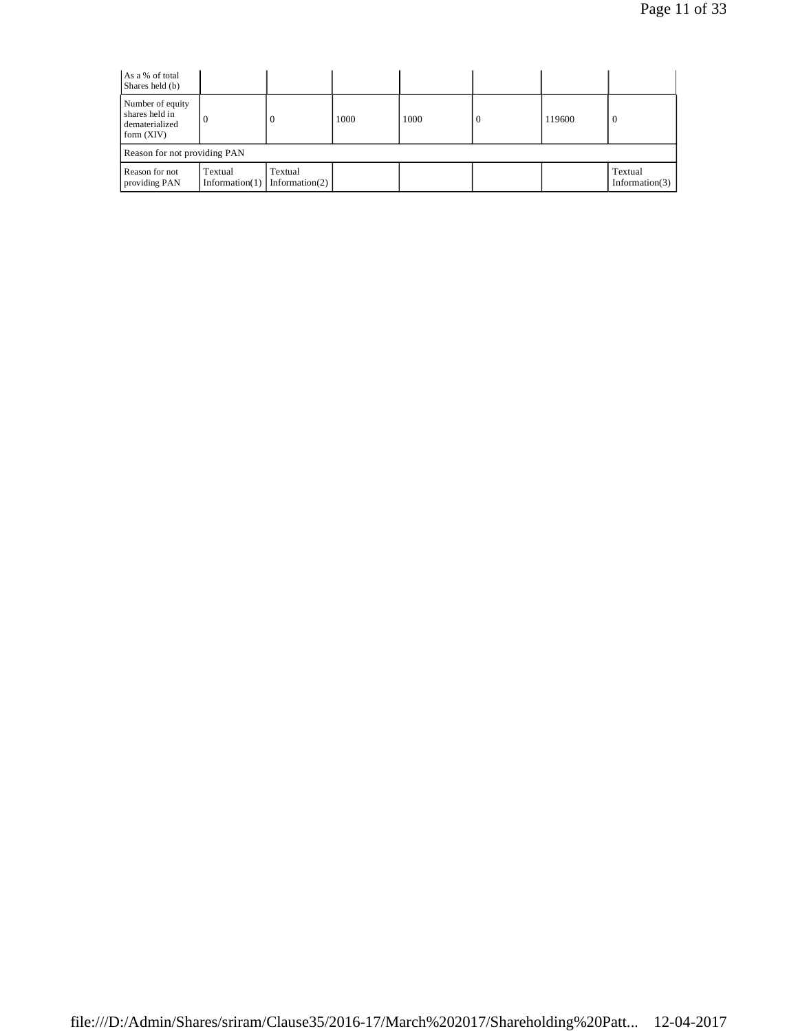| As a % of total<br>Shares held (b)                                   |          |                                          |      |      |  |        |                              |  |
|----------------------------------------------------------------------|----------|------------------------------------------|------|------|--|--------|------------------------------|--|
| Number of equity<br>shares held in<br>dematerialized<br>form $(XIV)$ | $\Omega$ |                                          | 1000 | 1000 |  | 119600 | $\epsilon$                   |  |
| Reason for not providing PAN                                         |          |                                          |      |      |  |        |                              |  |
| Reason for not<br>providing PAN                                      | Textual  | Textual<br>Information(1) Information(2) |      |      |  |        | Textual<br>Information $(3)$ |  |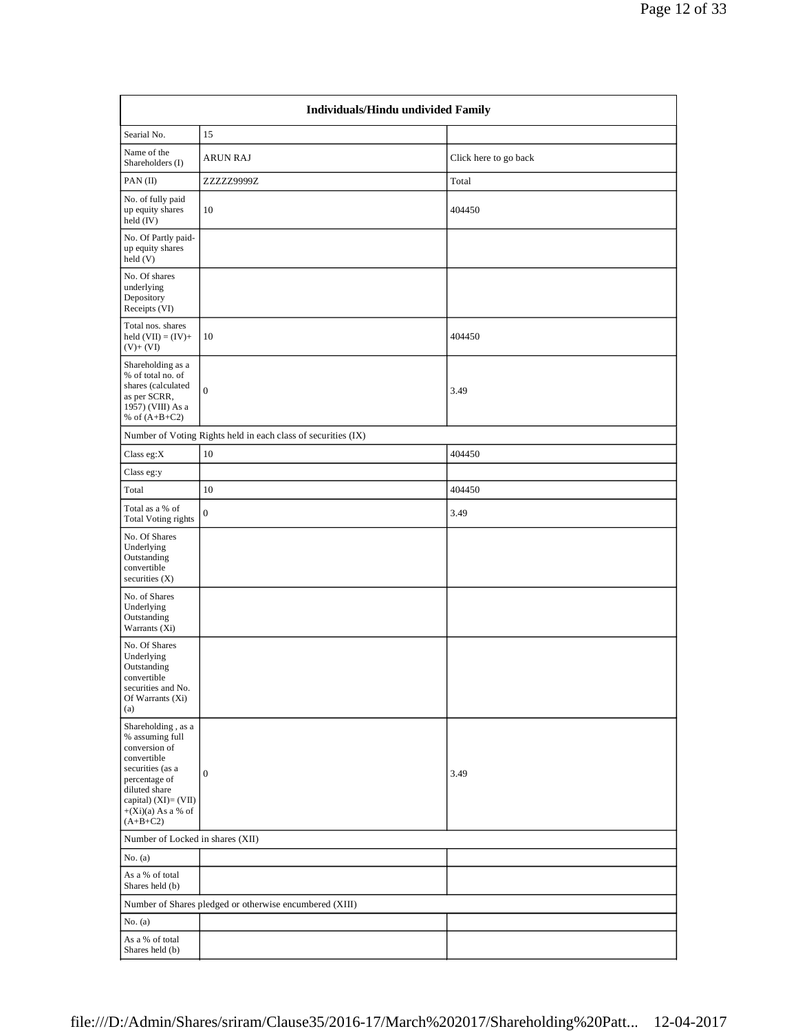|                                                                                                                                                                                            | Individuals/Hindu undivided Family                            |                       |  |  |  |  |  |  |
|--------------------------------------------------------------------------------------------------------------------------------------------------------------------------------------------|---------------------------------------------------------------|-----------------------|--|--|--|--|--|--|
| Searial No.                                                                                                                                                                                | 15                                                            |                       |  |  |  |  |  |  |
| Name of the<br>Shareholders (I)                                                                                                                                                            | <b>ARUN RAJ</b>                                               | Click here to go back |  |  |  |  |  |  |
| PAN(II)                                                                                                                                                                                    | ZZZZZ9999Z                                                    | Total                 |  |  |  |  |  |  |
| No. of fully paid<br>up equity shares<br>held $(IV)$                                                                                                                                       | 10                                                            | 404450                |  |  |  |  |  |  |
| No. Of Partly paid-<br>up equity shares<br>held (V)                                                                                                                                        |                                                               |                       |  |  |  |  |  |  |
| No. Of shares<br>underlying<br>Depository<br>Receipts (VI)                                                                                                                                 |                                                               |                       |  |  |  |  |  |  |
| Total nos. shares<br>held $(VII) = (IV) +$<br>$(V)$ + $(VI)$                                                                                                                               | 10                                                            | 404450                |  |  |  |  |  |  |
| Shareholding as a<br>% of total no. of<br>shares (calculated<br>as per SCRR,<br>1957) (VIII) As a<br>% of $(A+B+C2)$                                                                       | $\overline{0}$                                                | 3.49                  |  |  |  |  |  |  |
|                                                                                                                                                                                            | Number of Voting Rights held in each class of securities (IX) |                       |  |  |  |  |  |  |
| Class eg:X                                                                                                                                                                                 | $10\,$                                                        | 404450                |  |  |  |  |  |  |
| Class eg:y                                                                                                                                                                                 |                                                               |                       |  |  |  |  |  |  |
| Total                                                                                                                                                                                      | 10                                                            | 404450                |  |  |  |  |  |  |
| Total as a % of<br><b>Total Voting rights</b>                                                                                                                                              | $\boldsymbol{0}$                                              | 3.49                  |  |  |  |  |  |  |
| No. Of Shares<br>Underlying<br>Outstanding<br>convertible<br>securities $(X)$                                                                                                              |                                                               |                       |  |  |  |  |  |  |
| No. of Shares<br>Underlying<br>Outstanding<br>Warrants (Xi)                                                                                                                                |                                                               |                       |  |  |  |  |  |  |
| No. Of Shares<br>Underlying<br>Outstanding<br>convertible<br>securities and No.<br>Of Warrants (Xi)<br>(a)                                                                                 |                                                               |                       |  |  |  |  |  |  |
| Shareholding , as a<br>% assuming full<br>conversion of<br>convertible<br>securities (as a<br>percentage of<br>diluted share<br>capital) (XI)= (VII)<br>$+(Xi)(a)$ As a % of<br>$(A+B+C2)$ | $\boldsymbol{0}$                                              | 3.49                  |  |  |  |  |  |  |
|                                                                                                                                                                                            | Number of Locked in shares (XII)                              |                       |  |  |  |  |  |  |
| No. $(a)$                                                                                                                                                                                  |                                                               |                       |  |  |  |  |  |  |
| As a % of total<br>Shares held (b)                                                                                                                                                         |                                                               |                       |  |  |  |  |  |  |
|                                                                                                                                                                                            | Number of Shares pledged or otherwise encumbered (XIII)       |                       |  |  |  |  |  |  |
| No. $(a)$                                                                                                                                                                                  |                                                               |                       |  |  |  |  |  |  |
| As a % of total<br>Shares held (b)                                                                                                                                                         |                                                               |                       |  |  |  |  |  |  |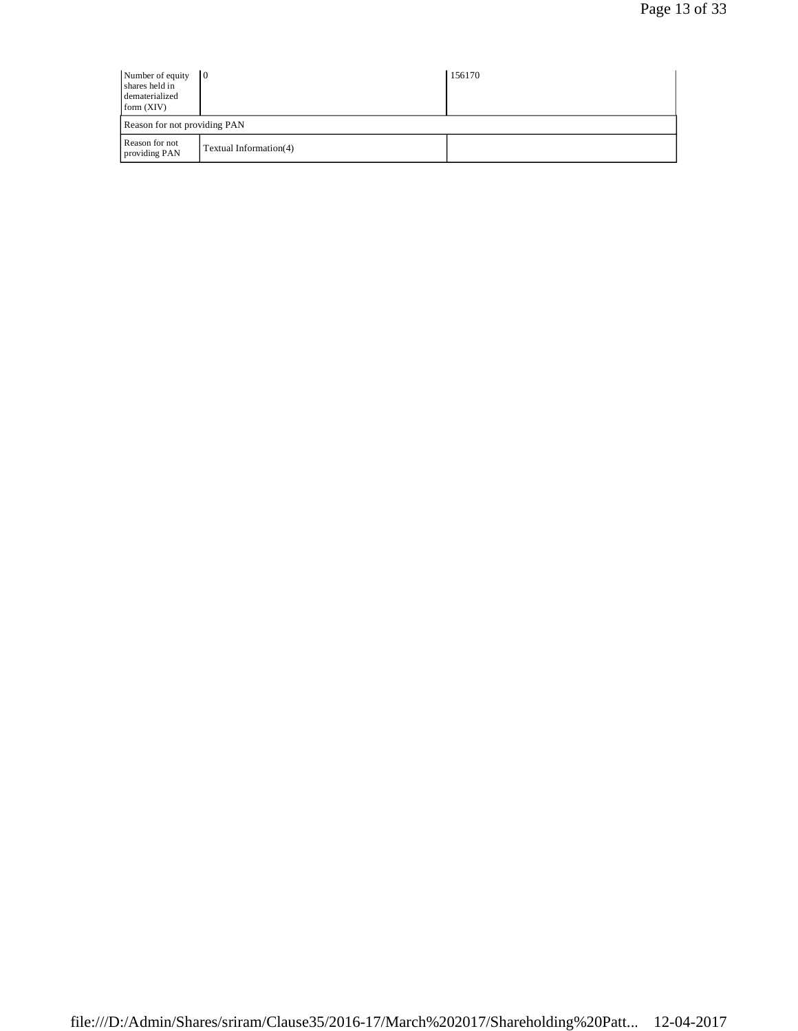| Number of equity<br>shares held in<br>dematerialized<br>form (XIV) | $\overline{10}$              | 156170 |  |  |  |
|--------------------------------------------------------------------|------------------------------|--------|--|--|--|
|                                                                    | Reason for not providing PAN |        |  |  |  |
| Reason for not<br>providing PAN                                    | Textual Information(4)       |        |  |  |  |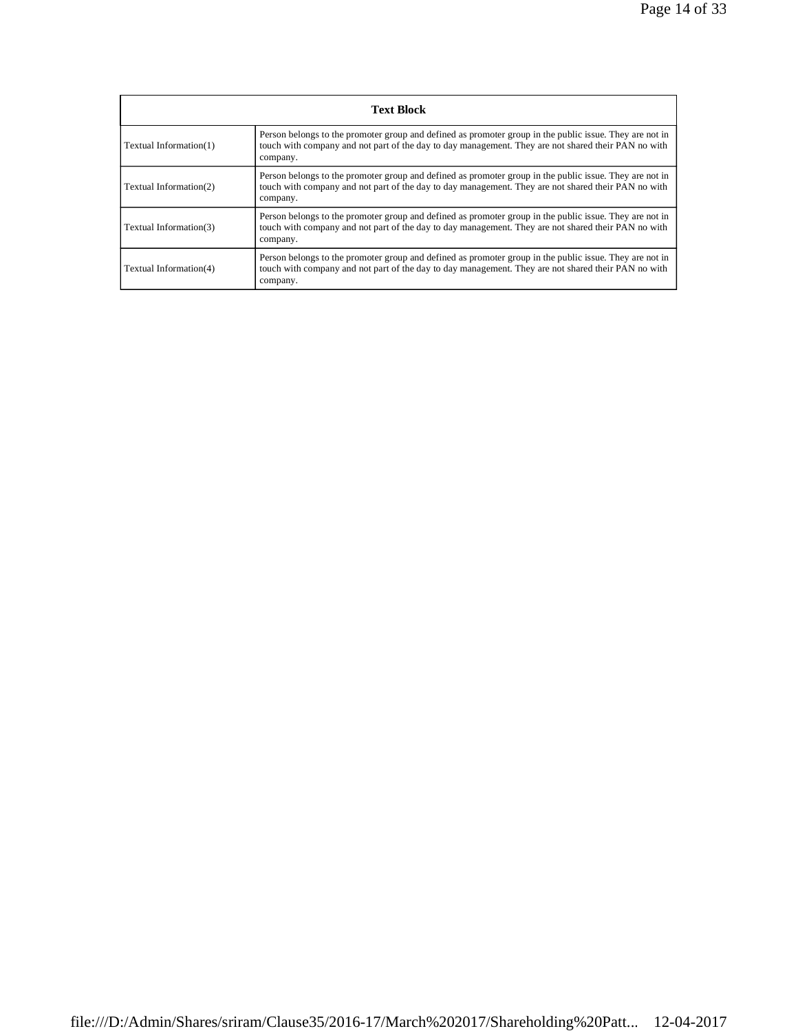| <b>Text Block</b>      |                                                                                                                                                                                                                            |  |  |  |
|------------------------|----------------------------------------------------------------------------------------------------------------------------------------------------------------------------------------------------------------------------|--|--|--|
| Textual Information(1) | Person belongs to the promoter group and defined as promoter group in the public issue. They are not in<br>touch with company and not part of the day to day management. They are not shared their PAN no with<br>company. |  |  |  |
| Textual Information(2) | Person belongs to the promoter group and defined as promoter group in the public issue. They are not in<br>touch with company and not part of the day to day management. They are not shared their PAN no with<br>company. |  |  |  |
| Textual Information(3) | Person belongs to the promoter group and defined as promoter group in the public issue. They are not in<br>touch with company and not part of the day to day management. They are not shared their PAN no with<br>company. |  |  |  |
| Textual Information(4) | Person belongs to the promoter group and defined as promoter group in the public issue. They are not in<br>touch with company and not part of the day to day management. They are not shared their PAN no with<br>company. |  |  |  |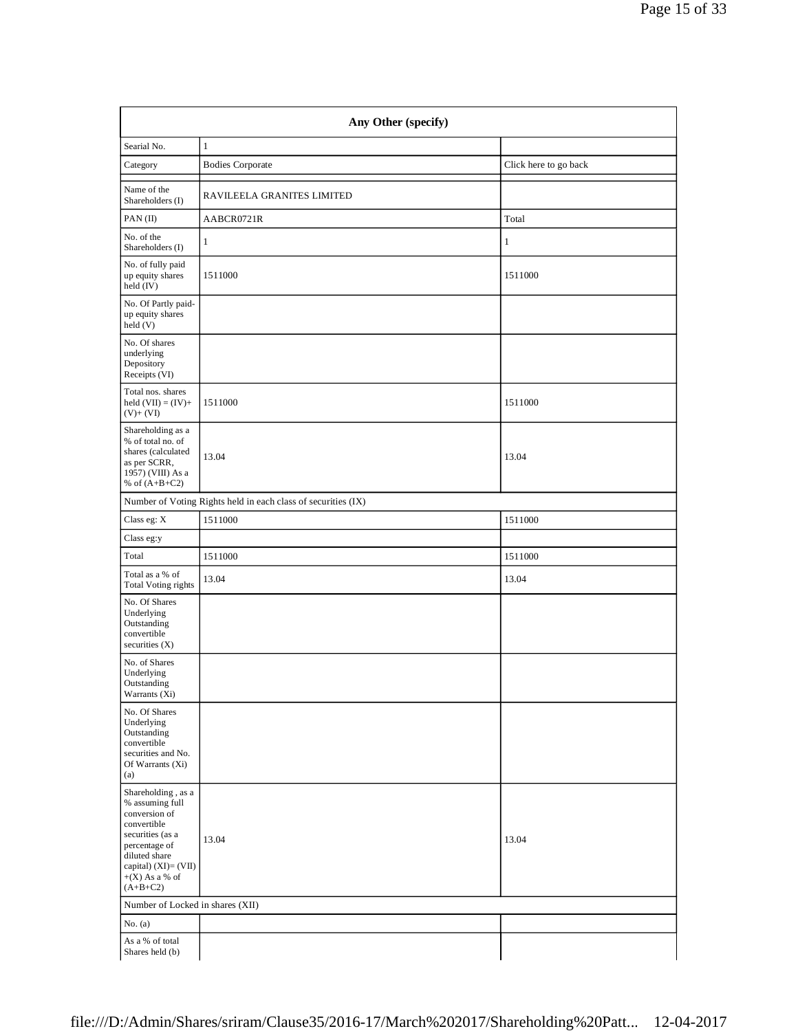| Any Other (specify)                                                                                                                                                                   |                                                               |                       |  |  |  |
|---------------------------------------------------------------------------------------------------------------------------------------------------------------------------------------|---------------------------------------------------------------|-----------------------|--|--|--|
| Searial No.                                                                                                                                                                           | $\mathbf{1}$                                                  |                       |  |  |  |
| Category                                                                                                                                                                              | <b>Bodies Corporate</b>                                       | Click here to go back |  |  |  |
| Name of the<br>Shareholders (I)                                                                                                                                                       | RAVILEELA GRANITES LIMITED                                    |                       |  |  |  |
| PAN(II)                                                                                                                                                                               | AABCR0721R                                                    | Total                 |  |  |  |
| No. of the<br>Shareholders (I)                                                                                                                                                        | $\mathbf{1}$                                                  | $\mathbf{1}$          |  |  |  |
| No. of fully paid<br>up equity shares<br>held (IV)                                                                                                                                    | 1511000                                                       | 1511000               |  |  |  |
| No. Of Partly paid-<br>up equity shares<br>held (V)                                                                                                                                   |                                                               |                       |  |  |  |
| No. Of shares<br>underlying<br>Depository<br>Receipts (VI)                                                                                                                            |                                                               |                       |  |  |  |
| Total nos. shares<br>held $(VII) = (IV) +$<br>$(V)+(VI)$                                                                                                                              | 1511000                                                       | 1511000               |  |  |  |
| Shareholding as a<br>% of total no. of<br>shares (calculated<br>as per SCRR,<br>1957) (VIII) As a<br>% of $(A+B+C2)$                                                                  | 13.04                                                         | 13.04                 |  |  |  |
|                                                                                                                                                                                       | Number of Voting Rights held in each class of securities (IX) |                       |  |  |  |
| Class eg: X                                                                                                                                                                           | 1511000                                                       | 1511000               |  |  |  |
| Class eg:y                                                                                                                                                                            |                                                               |                       |  |  |  |
| Total                                                                                                                                                                                 | 1511000                                                       | 1511000               |  |  |  |
| Total as a % of<br><b>Total Voting rights</b>                                                                                                                                         | 13.04                                                         | 13.04                 |  |  |  |
| No. Of Shares<br>Underlying<br>Outstanding<br>convertible<br>securities $(X)$                                                                                                         |                                                               |                       |  |  |  |
| No. of Shares<br>Underlying<br>Outstanding<br>Warrants (Xi)                                                                                                                           |                                                               |                       |  |  |  |
| No. Of Shares<br>Underlying<br>Outstanding<br>convertible<br>securities and No.<br>Of Warrants (Xi)<br>(a)                                                                            |                                                               |                       |  |  |  |
| Shareholding, as a<br>% assuming full<br>conversion of<br>convertible<br>securities (as a<br>percentage of<br>diluted share<br>capital) (XI)= (VII)<br>$+(X)$ As a % of<br>$(A+B+C2)$ | 13.04                                                         | 13.04                 |  |  |  |
| Number of Locked in shares (XII)                                                                                                                                                      |                                                               |                       |  |  |  |
| No. $(a)$                                                                                                                                                                             |                                                               |                       |  |  |  |
| As a % of total<br>Shares held (b)                                                                                                                                                    |                                                               |                       |  |  |  |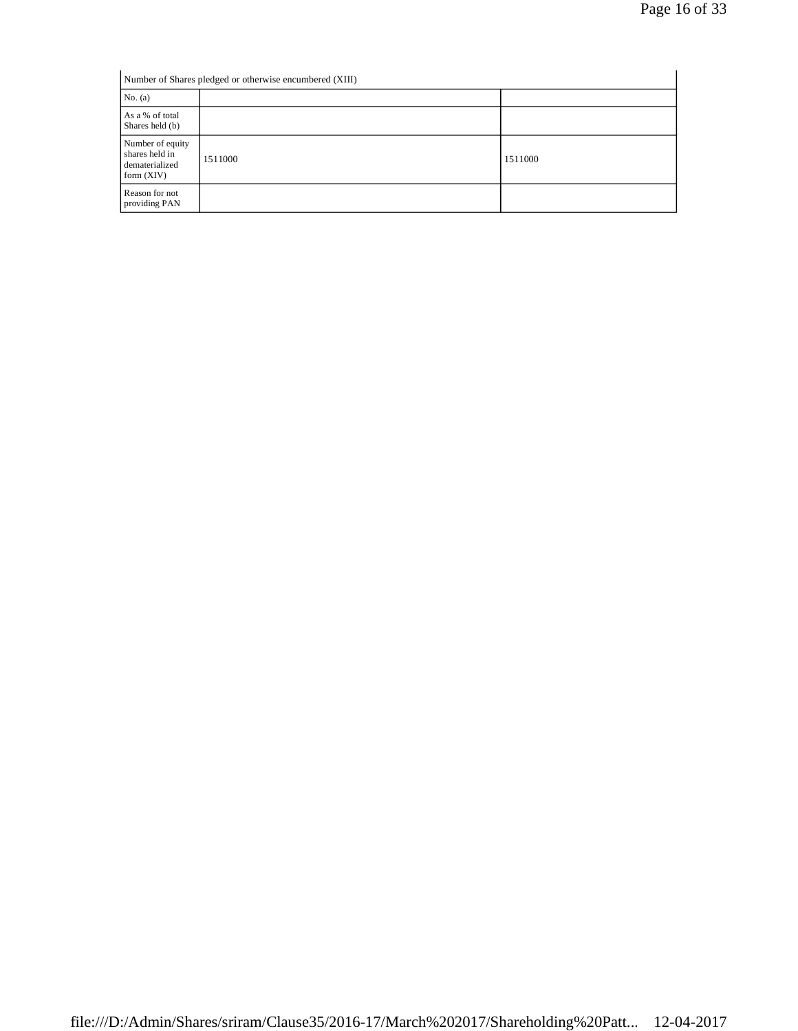| Number of Shares pledged or otherwise encumbered (XIII)              |         |         |  |
|----------------------------------------------------------------------|---------|---------|--|
| No. $(a)$                                                            |         |         |  |
| As a % of total<br>Shares held (b)                                   |         |         |  |
| Number of equity<br>shares held in<br>dematerialized<br>form $(XIV)$ | 1511000 | 1511000 |  |
| Reason for not<br>providing PAN                                      |         |         |  |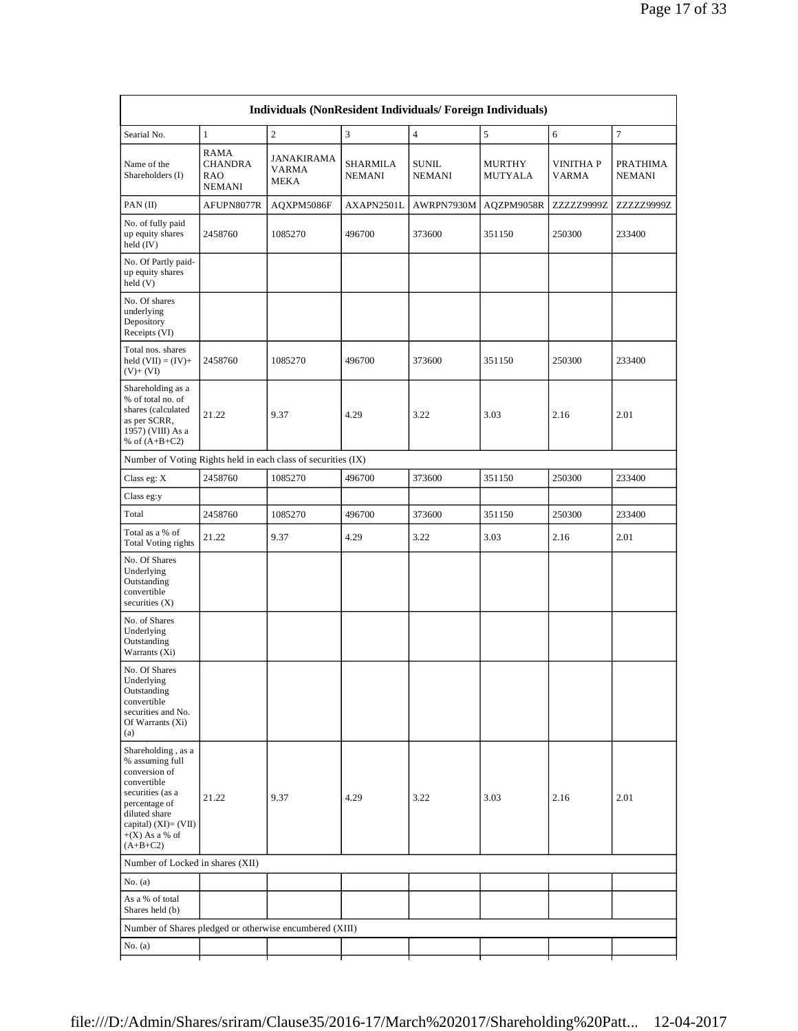| Searial No.                                                                                                                                                                              | $\mathbf{1}$                                                 | $\overline{c}$                     | 3                                | $\overline{4}$                | 5                        | 6                               | $\tau$                           |
|------------------------------------------------------------------------------------------------------------------------------------------------------------------------------------------|--------------------------------------------------------------|------------------------------------|----------------------------------|-------------------------------|--------------------------|---------------------------------|----------------------------------|
| Name of the<br>Shareholders (I)                                                                                                                                                          | <b>RAMA</b><br><b>CHANDRA</b><br><b>RAO</b><br><b>NEMANI</b> | JANAKIRAMA<br>VARMA<br><b>MEKA</b> | <b>SHARMILA</b><br><b>NEMANI</b> | <b>SUNIL</b><br><b>NEMANI</b> | MURTHY<br><b>MUTYALA</b> | <b>VINITHAP</b><br><b>VARMA</b> | <b>PRATHIMA</b><br><b>NEMANI</b> |
| PAN(II)                                                                                                                                                                                  | AFUPN8077R                                                   | AQXPM5086F                         | AXAPN2501L                       | AWRPN7930M                    | AQZPM9058R               | ZZZZZ9999Z                      | ZZZZZ9999Z                       |
| No. of fully paid<br>up equity shares<br>held (IV)                                                                                                                                       | 2458760                                                      | 1085270                            | 496700                           | 373600                        | 351150                   | 250300                          | 233400                           |
| No. Of Partly paid-<br>up equity shares<br>held (V)                                                                                                                                      |                                                              |                                    |                                  |                               |                          |                                 |                                  |
| No. Of shares<br>underlying<br>Depository<br>Receipts (VI)                                                                                                                               |                                                              |                                    |                                  |                               |                          |                                 |                                  |
| Total nos. shares<br>held $(VII) = (IV) +$<br>$(V)$ + $(VI)$                                                                                                                             | 2458760                                                      | 1085270                            | 496700                           | 373600                        | 351150                   | 250300                          | 233400                           |
| Shareholding as a<br>% of total no. of<br>shares (calculated<br>as per SCRR,<br>1957) (VIII) As a<br>% of $(A+B+C2)$                                                                     | 21.22                                                        | 9.37                               | 4.29                             | 3.22                          | 3.03                     | 2.16                            | 2.01                             |
| Number of Voting Rights held in each class of securities (IX)                                                                                                                            |                                                              |                                    |                                  |                               |                          |                                 |                                  |
| Class eg: X                                                                                                                                                                              | 2458760                                                      | 1085270                            | 496700                           | 373600                        | 351150                   | 250300                          | 233400                           |
| Class eg:y                                                                                                                                                                               |                                                              |                                    |                                  |                               |                          |                                 |                                  |
| Total                                                                                                                                                                                    | 2458760                                                      | 1085270                            | 496700                           | 373600                        | 351150                   | 250300                          | 233400                           |
| Total as a % of<br><b>Total Voting rights</b>                                                                                                                                            | 21.22                                                        | 9.37                               | 4.29                             | 3.22                          | 3.03                     | 2.16                            | 2.01                             |
| No. Of Shares<br>Underlying<br>Outstanding<br>convertible<br>securities $(X)$                                                                                                            |                                                              |                                    |                                  |                               |                          |                                 |                                  |
| No. of Shares<br>Underlying<br>Outstanding<br>Warrants (Xi)                                                                                                                              |                                                              |                                    |                                  |                               |                          |                                 |                                  |
| No. Of Shares<br>Underlying<br>Outstanding<br>convertible<br>securities and No.<br>Of Warrants (Xi)<br>(a)                                                                               |                                                              |                                    |                                  |                               |                          |                                 |                                  |
| Shareholding, as a<br>% assuming full<br>conversion of<br>convertible<br>securities (as a<br>percentage of<br>diluted share<br>capital) $(XI) = (VII)$<br>$+(X)$ As a % of<br>$(A+B+C2)$ | 21.22                                                        | 9.37                               | 4.29                             | 3.22                          | 3.03                     | 2.16                            | 2.01                             |
| Number of Locked in shares (XII)                                                                                                                                                         |                                                              |                                    |                                  |                               |                          |                                 |                                  |
| No. $(a)$                                                                                                                                                                                |                                                              |                                    |                                  |                               |                          |                                 |                                  |
| As a % of total<br>Shares held (b)                                                                                                                                                       |                                                              |                                    |                                  |                               |                          |                                 |                                  |
|                                                                                                                                                                                          |                                                              |                                    |                                  |                               |                          |                                 |                                  |
| Number of Shares pledged or otherwise encumbered (XIII)                                                                                                                                  |                                                              |                                    |                                  |                               |                          |                                 |                                  |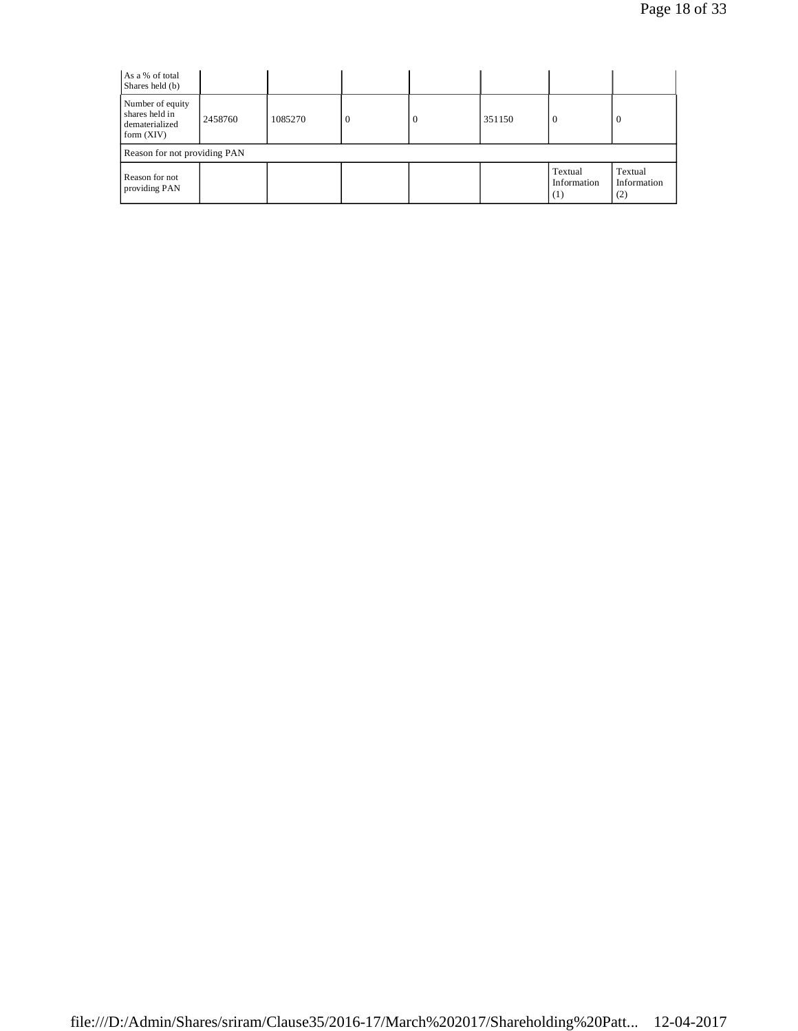| As a % of total<br>Shares held (b)                                   |         |         |   |  |        |                               |                               |
|----------------------------------------------------------------------|---------|---------|---|--|--------|-------------------------------|-------------------------------|
| Number of equity<br>shares held in<br>dematerialized<br>form $(XIV)$ | 2458760 | 1085270 | U |  | 351150 | $\overline{0}$                | -0                            |
| Reason for not providing PAN                                         |         |         |   |  |        |                               |                               |
| Reason for not<br>providing PAN                                      |         |         |   |  |        | Textual<br>Information<br>(1) | Textual<br>Information<br>(2) |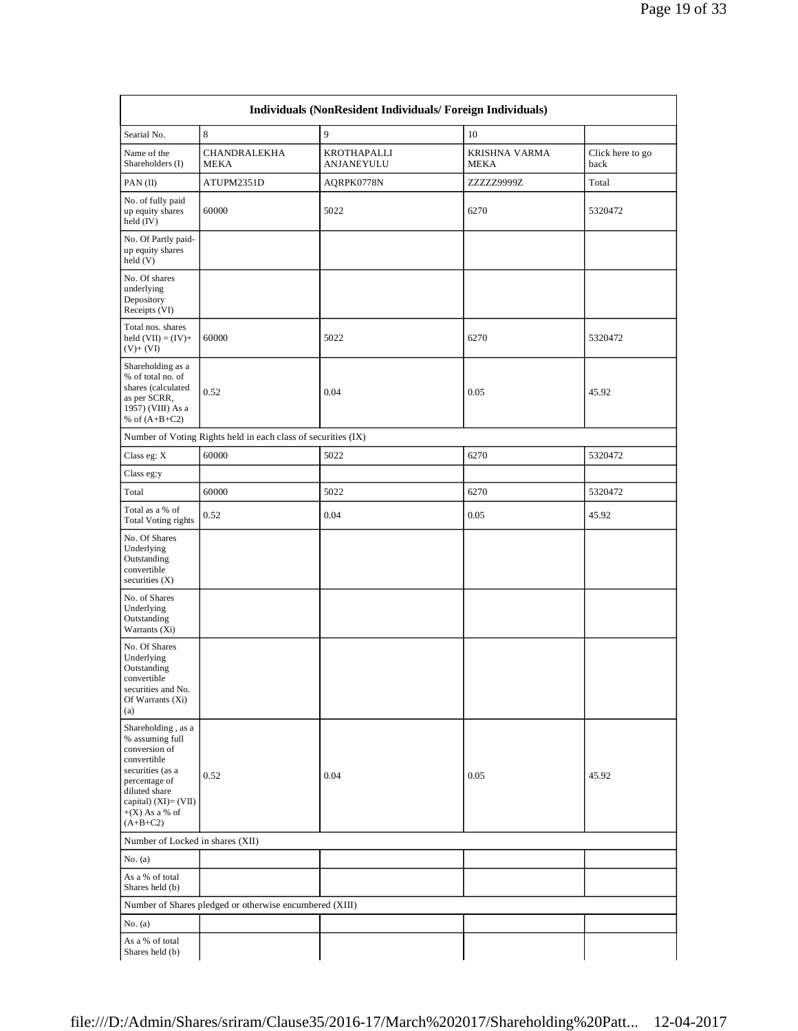| Individuals (NonResident Individuals/Foreign Individuals)                                                                                                                                 |                                                               |                                  |                              |                          |  |
|-------------------------------------------------------------------------------------------------------------------------------------------------------------------------------------------|---------------------------------------------------------------|----------------------------------|------------------------------|--------------------------|--|
| Searial No.                                                                                                                                                                               | 8                                                             | 9                                | 10                           |                          |  |
| Name of the<br>Shareholders (I)                                                                                                                                                           | CHANDRALEKHA<br><b>MEKA</b>                                   | KROTHAPALLI<br><b>ANJANEYULU</b> | KRISHNA VARMA<br><b>MEKA</b> | Click here to go<br>back |  |
| PAN(II)                                                                                                                                                                                   | ATUPM2351D                                                    | AQRPK0778N                       | ZZZZZ9999Z                   | Total                    |  |
| No. of fully paid<br>up equity shares<br>held (IV)                                                                                                                                        | 60000                                                         | 5022                             | 6270                         | 5320472                  |  |
| No. Of Partly paid-<br>up equity shares<br>held (V)                                                                                                                                       |                                                               |                                  |                              |                          |  |
| No. Of shares<br>underlying<br>Depository<br>Receipts (VI)                                                                                                                                |                                                               |                                  |                              |                          |  |
| Total nos. shares<br>held $(VII) = (IV) +$<br>$(V) + (VI)$                                                                                                                                | 60000                                                         | 5022                             | 6270                         | 5320472                  |  |
| Shareholding as a<br>% of total no. of<br>shares (calculated<br>as per SCRR,<br>1957) (VIII) As a<br>% of $(A+B+C2)$                                                                      | 0.52                                                          | 0.04                             | 0.05                         | 45.92                    |  |
|                                                                                                                                                                                           | Number of Voting Rights held in each class of securities (IX) |                                  |                              |                          |  |
| Class eg: X                                                                                                                                                                               | 60000                                                         | 5022                             | 6270                         | 5320472                  |  |
| Class eg:y                                                                                                                                                                                |                                                               |                                  |                              |                          |  |
| Total                                                                                                                                                                                     | 60000                                                         | 5022                             | 6270                         | 5320472                  |  |
| Total as a % of<br><b>Total Voting rights</b>                                                                                                                                             | 0.52                                                          | 0.04                             | 0.05                         | 45.92                    |  |
| No. Of Shares<br>Underlying<br>Outstanding<br>convertible<br>securities $(X)$                                                                                                             |                                                               |                                  |                              |                          |  |
| No. of Shares<br>Underlying<br>Outstanding<br>Warrants (Xi)                                                                                                                               |                                                               |                                  |                              |                          |  |
| No. Of Shares<br>Underlying<br>Outstanding<br>convertible<br>securities and No.<br>Of Warrants (Xi)<br>(a)                                                                                |                                                               |                                  |                              |                          |  |
| Shareholding , as a<br>% assuming full<br>conversion of<br>convertible<br>securities (as a<br>percentage of<br>diluted share<br>capital) $(XI) = (VII)$<br>$+(X)$ As a % of<br>$(A+B+C2)$ | 0.52                                                          | 0.04                             | 0.05                         | 45.92                    |  |
| Number of Locked in shares (XII)                                                                                                                                                          |                                                               |                                  |                              |                          |  |
| No. $(a)$                                                                                                                                                                                 |                                                               |                                  |                              |                          |  |
| As a % of total<br>Shares held (b)                                                                                                                                                        |                                                               |                                  |                              |                          |  |
|                                                                                                                                                                                           | Number of Shares pledged or otherwise encumbered (XIII)       |                                  |                              |                          |  |
| No. $(a)$                                                                                                                                                                                 |                                                               |                                  |                              |                          |  |
| As a % of total<br>Shares held (b)                                                                                                                                                        |                                                               |                                  |                              |                          |  |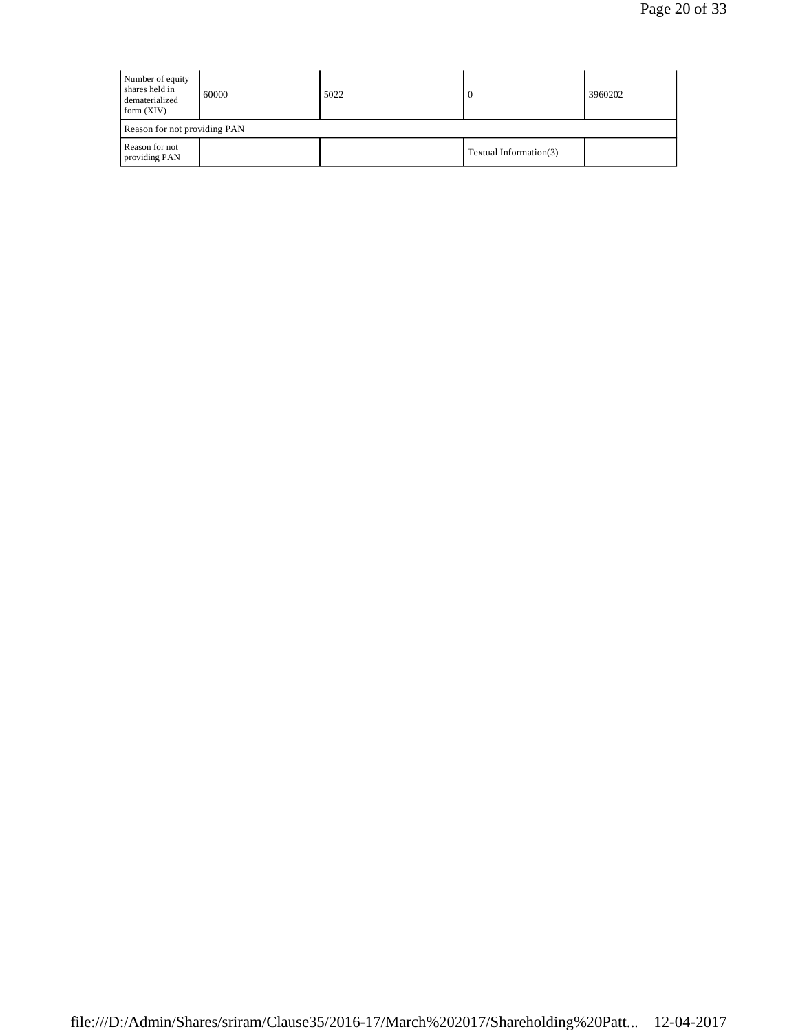| Number of equity<br>shares held in<br>dematerialized<br>form $(XIV)$ | 60000                        | 5022 |                        | 3960202 |  |  |
|----------------------------------------------------------------------|------------------------------|------|------------------------|---------|--|--|
|                                                                      | Reason for not providing PAN |      |                        |         |  |  |
| Reason for not<br>providing PAN                                      |                              |      | Textual Information(3) |         |  |  |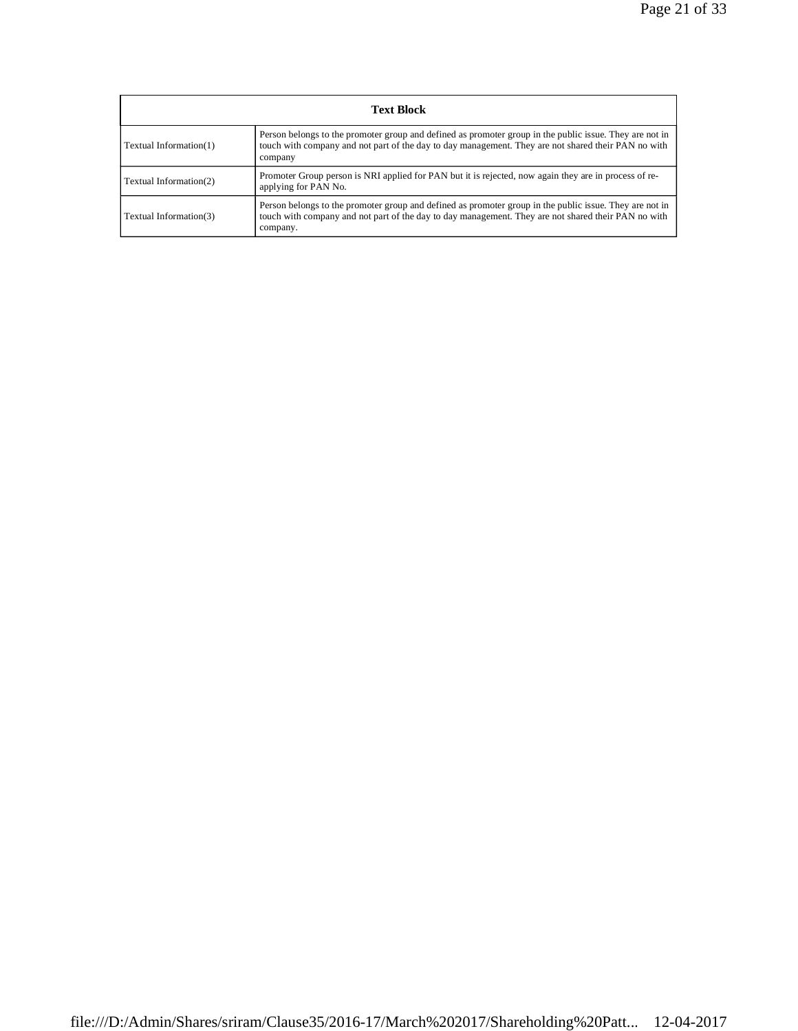| <b>Text Block</b>      |                                                                                                                                                                                                                            |  |  |  |
|------------------------|----------------------------------------------------------------------------------------------------------------------------------------------------------------------------------------------------------------------------|--|--|--|
| Textual Information(1) | Person belongs to the promoter group and defined as promoter group in the public issue. They are not in<br>touch with company and not part of the day to day management. They are not shared their PAN no with<br>company  |  |  |  |
| Textual Information(2) | Promoter Group person is NRI applied for PAN but it is rejected, now again they are in process of re-<br>applying for PAN No.                                                                                              |  |  |  |
| Textual Information(3) | Person belongs to the promoter group and defined as promoter group in the public issue. They are not in<br>touch with company and not part of the day to day management. They are not shared their PAN no with<br>company. |  |  |  |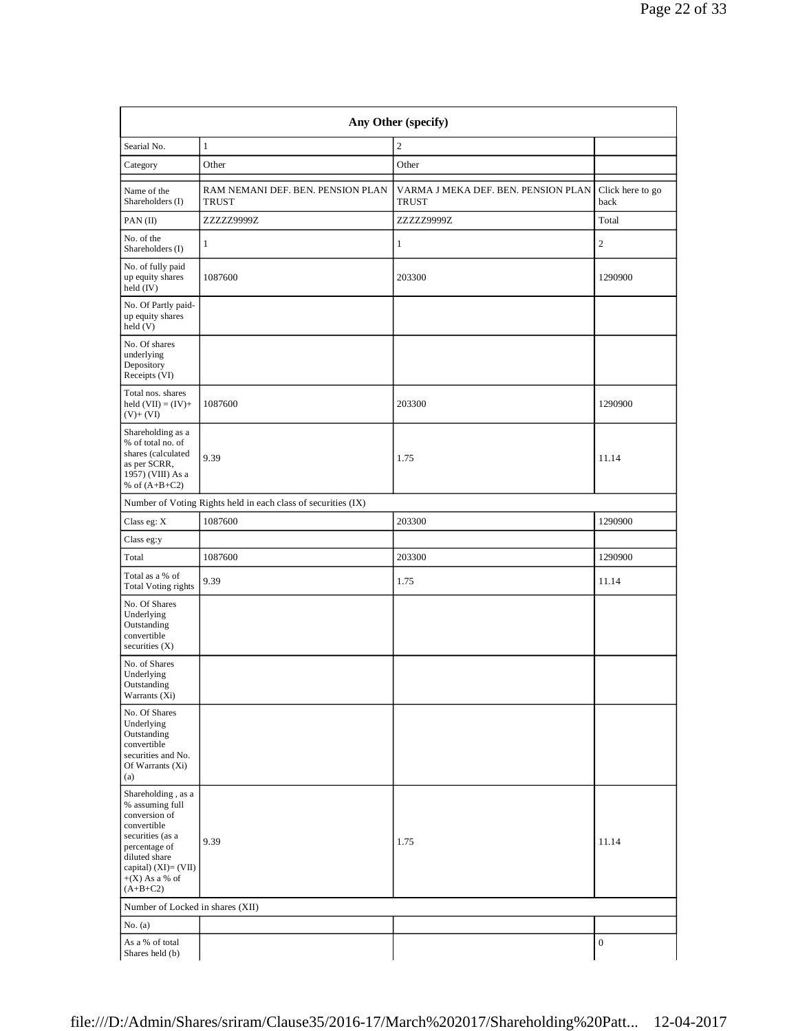| Any Other (specify)                                                                                                                                                                      |                                                               |                                                     |                          |  |  |
|------------------------------------------------------------------------------------------------------------------------------------------------------------------------------------------|---------------------------------------------------------------|-----------------------------------------------------|--------------------------|--|--|
| Searial No.                                                                                                                                                                              | $\mathbf{1}$                                                  | $\overline{2}$                                      |                          |  |  |
| Category                                                                                                                                                                                 | Other                                                         | Other                                               |                          |  |  |
| Name of the<br>Shareholders (I)                                                                                                                                                          | RAM NEMANI DEF. BEN. PENSION PLAN<br><b>TRUST</b>             | VARMA J MEKA DEF. BEN. PENSION PLAN<br><b>TRUST</b> | Click here to go<br>back |  |  |
| PAN(II)                                                                                                                                                                                  | ZZZZZ9999Z                                                    | ZZZZZ9999Z                                          | Total                    |  |  |
| No. of the<br>Shareholders (I)                                                                                                                                                           | 1                                                             | 1                                                   | $\sqrt{2}$               |  |  |
| No. of fully paid<br>up equity shares<br>held $(IV)$                                                                                                                                     | 1087600                                                       | 203300                                              | 1290900                  |  |  |
| No. Of Partly paid-<br>up equity shares<br>held (V)                                                                                                                                      |                                                               |                                                     |                          |  |  |
| No. Of shares<br>underlying<br>Depository<br>Receipts (VI)                                                                                                                               |                                                               |                                                     |                          |  |  |
| Total nos. shares<br>held $(VII) = (IV) +$<br>$(V)$ + $(VI)$                                                                                                                             | 1087600                                                       | 203300                                              | 1290900                  |  |  |
| Shareholding as a<br>% of total no. of<br>shares (calculated<br>as per SCRR,<br>1957) (VIII) As a<br>% of $(A+B+C2)$                                                                     | 9.39                                                          | 1.75                                                | 11.14                    |  |  |
|                                                                                                                                                                                          | Number of Voting Rights held in each class of securities (IX) |                                                     |                          |  |  |
| Class eg: $X$                                                                                                                                                                            | 1087600                                                       | 203300                                              | 1290900                  |  |  |
| Class eg:y                                                                                                                                                                               |                                                               |                                                     |                          |  |  |
| Total                                                                                                                                                                                    | 1087600                                                       | 203300                                              | 1290900                  |  |  |
| Total as a % of<br><b>Total Voting rights</b>                                                                                                                                            | 9.39                                                          | 1.75                                                | 11.14                    |  |  |
| No. Of Shares<br>Underlying<br>Outstanding<br>convertible<br>securities $(X)$                                                                                                            |                                                               |                                                     |                          |  |  |
| No. of Shares<br>Underlying<br>$\begin{array}{c} \text{Outstanding} \\ \end{array}$<br>Warrants (Xi)                                                                                     |                                                               |                                                     |                          |  |  |
| No. Of Shares<br>Underlying<br>Outstanding<br>convertible<br>securities and No.<br>Of Warrants (Xi)<br>(a)                                                                               |                                                               |                                                     |                          |  |  |
| Shareholding, as a<br>% assuming full<br>conversion of<br>convertible<br>securities (as a<br>percentage of<br>diluted share<br>capital) $(XI) = (VII)$<br>$+(X)$ As a % of<br>$(A+B+C2)$ | 9.39                                                          | 1.75                                                | 11.14                    |  |  |
| Number of Locked in shares (XII)                                                                                                                                                         |                                                               |                                                     |                          |  |  |
| No. $(a)$                                                                                                                                                                                |                                                               |                                                     |                          |  |  |
| As a % of total<br>Shares held (b)                                                                                                                                                       |                                                               |                                                     | $\boldsymbol{0}$         |  |  |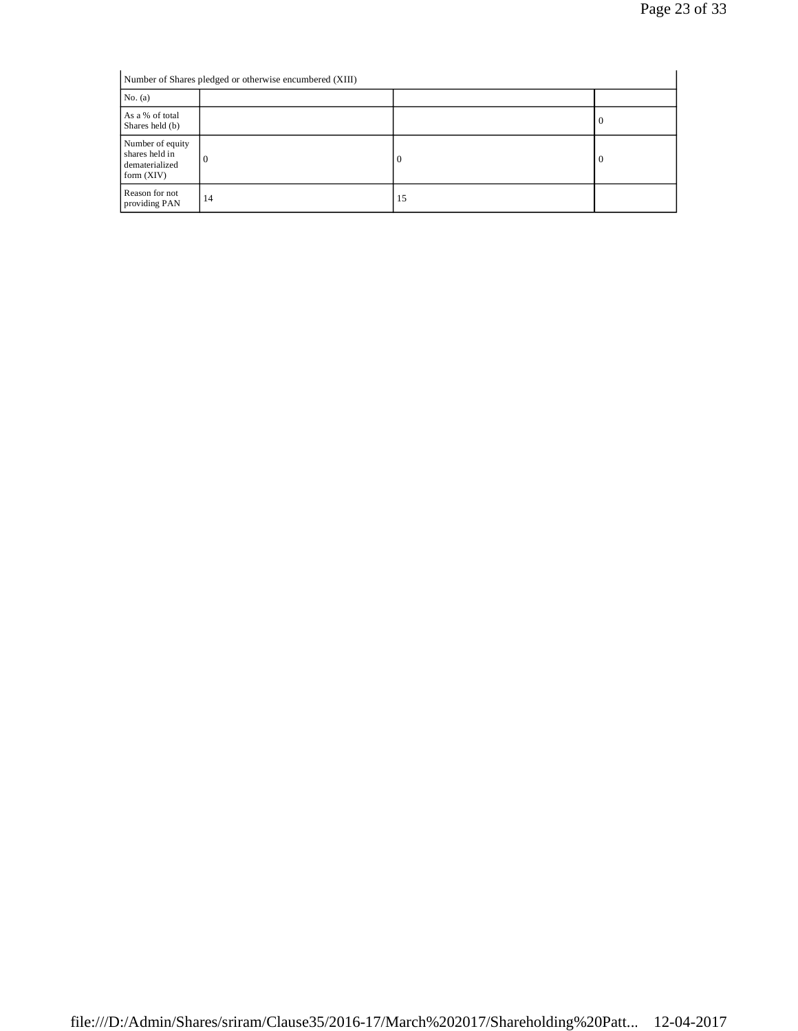| Number of Shares pledged or otherwise encumbered (XIII)              |    |          |          |  |
|----------------------------------------------------------------------|----|----------|----------|--|
| No. $(a)$                                                            |    |          |          |  |
| As a % of total<br>Shares held (b)                                   |    |          | <b>U</b> |  |
| Number of equity<br>shares held in<br>dematerialized<br>form $(XIV)$ | 0  | $\theta$ | -0       |  |
| Reason for not<br>providing PAN                                      | 14 | 15       |          |  |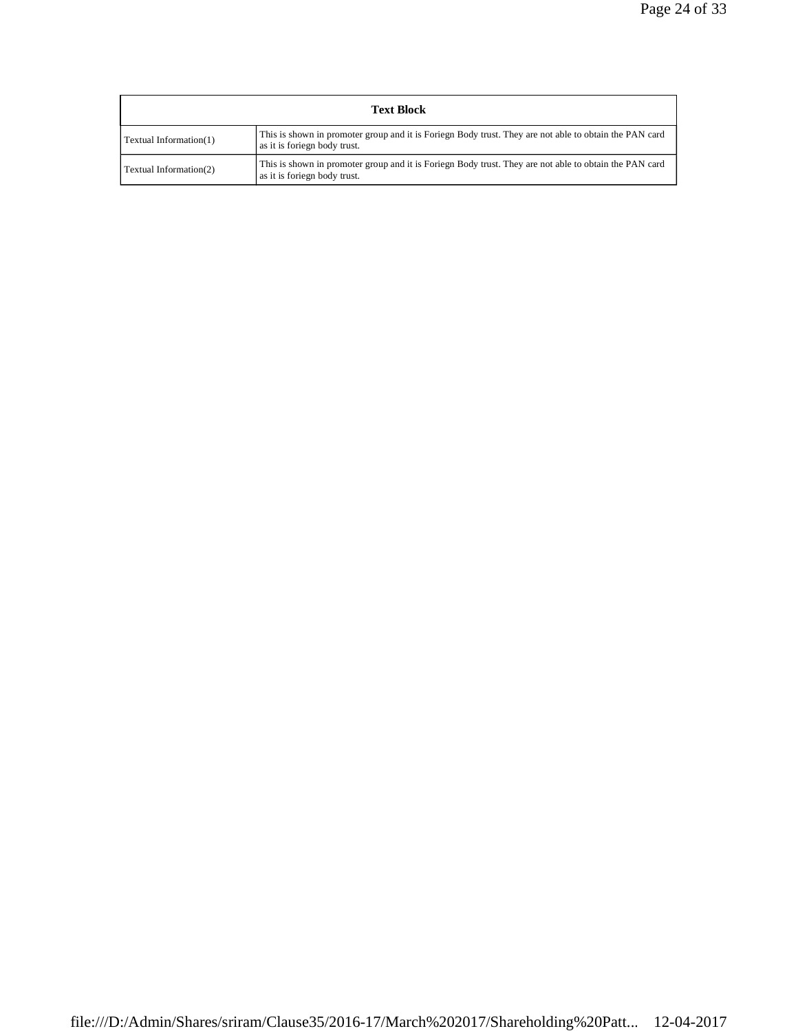| <b>Text Block</b>      |                                                                                                                                        |  |  |  |
|------------------------|----------------------------------------------------------------------------------------------------------------------------------------|--|--|--|
| Textual Information(1) | This is shown in promoter group and it is Foriegn Body trust. They are not able to obtain the PAN card<br>as it is foriegn body trust. |  |  |  |
| Textual Information(2) | This is shown in promoter group and it is Foriegn Body trust. They are not able to obtain the PAN card<br>as it is foriegn body trust. |  |  |  |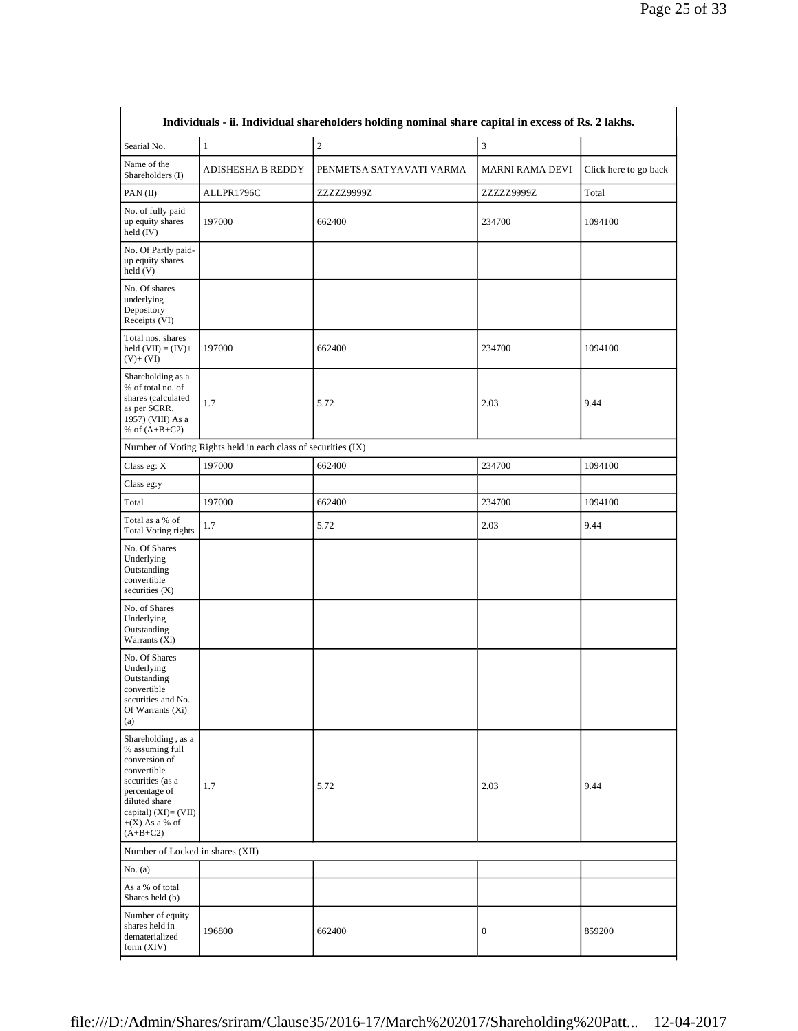| Searial No.                                                                                                                                                                              | $\,1\,$                                                       | $\sqrt{2}$               | $\ensuremath{\mathfrak{Z}}$ |                       |
|------------------------------------------------------------------------------------------------------------------------------------------------------------------------------------------|---------------------------------------------------------------|--------------------------|-----------------------------|-----------------------|
| Name of the<br>Shareholders (I)                                                                                                                                                          | ADISHESHA B REDDY                                             | PENMETSA SATYAVATI VARMA | MARNI RAMA DEVI             | Click here to go back |
| PAN(II)                                                                                                                                                                                  | ALLPR1796C                                                    | ZZZZZ9999Z               | ZZZZZ9999Z                  | Total                 |
| No. of fully paid<br>up equity shares<br>held (IV)                                                                                                                                       | 197000                                                        | 662400                   | 234700                      | 1094100               |
| No. Of Partly paid-<br>up equity shares<br>held(V)                                                                                                                                       |                                                               |                          |                             |                       |
| No. Of shares<br>underlying<br>Depository<br>Receipts (VI)                                                                                                                               |                                                               |                          |                             |                       |
| Total nos. shares<br>held $(VII) = (IV) +$<br>$(V)$ + $(VI)$                                                                                                                             | 197000                                                        | 662400                   | 234700                      | 1094100               |
| Shareholding as a<br>% of total no. of<br>shares (calculated<br>as per SCRR,<br>1957) (VIII) As a<br>% of $(A+B+C2)$                                                                     | 1.7                                                           | 5.72                     | 2.03                        | 9.44                  |
|                                                                                                                                                                                          | Number of Voting Rights held in each class of securities (IX) |                          |                             |                       |
| Class eg: X                                                                                                                                                                              | 197000                                                        | 662400                   | 234700                      | 1094100               |
| Class eg:y                                                                                                                                                                               |                                                               |                          |                             |                       |
| Total                                                                                                                                                                                    | 197000                                                        | 662400                   | 234700                      | 1094100               |
| Total as a % of<br><b>Total Voting rights</b>                                                                                                                                            | 1.7                                                           | 5.72                     | 2.03                        | 9.44                  |
| No. Of Shares<br>Underlying<br>Outstanding<br>convertible<br>securities (X)                                                                                                              |                                                               |                          |                             |                       |
| No. of Shares<br>Underlying<br>Outstanding<br>Warrants (Xi)                                                                                                                              |                                                               |                          |                             |                       |
| No. Of Shares<br>Underlying<br>Outstanding<br>convertible<br>securities and No.<br>Of Warrants (Xi)<br>(a)                                                                               |                                                               |                          |                             |                       |
| Shareholding, as a<br>% assuming full<br>conversion of<br>convertible<br>securities (as a<br>percentage of<br>diluted share<br>capital) $(XI) = (VII)$<br>$+(X)$ As a % of<br>$(A+B+C2)$ | 1.7                                                           | 5.72                     | 2.03                        | 9.44                  |
| Number of Locked in shares (XII)                                                                                                                                                         |                                                               |                          |                             |                       |
| No. $(a)$                                                                                                                                                                                |                                                               |                          |                             |                       |
| As a % of total<br>Shares held (b)                                                                                                                                                       |                                                               |                          |                             |                       |
| Number of equity<br>shares held in<br>dematerialized<br>form $(XIV)$                                                                                                                     | 196800                                                        | 662400                   | $\mathbf{0}$                | 859200                |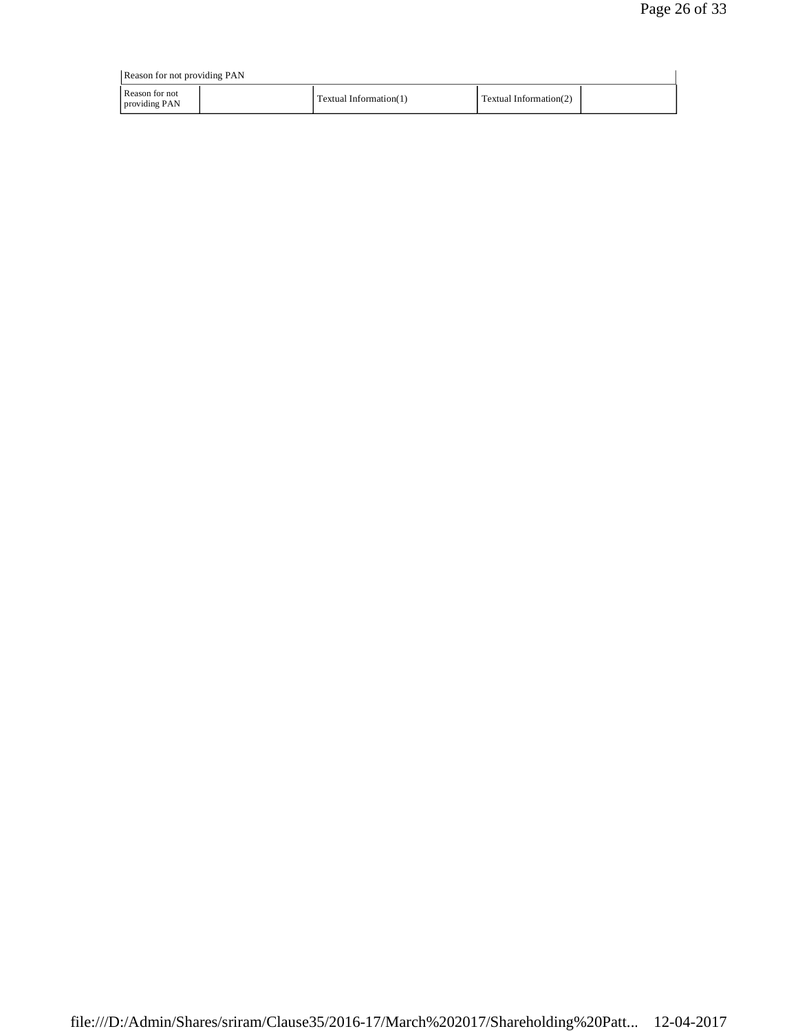| Reason for not providing PAN    |  |                        |                        |  |
|---------------------------------|--|------------------------|------------------------|--|
| Reason for not<br>providing PAN |  | Textual Information(1) | Textual Information(2) |  |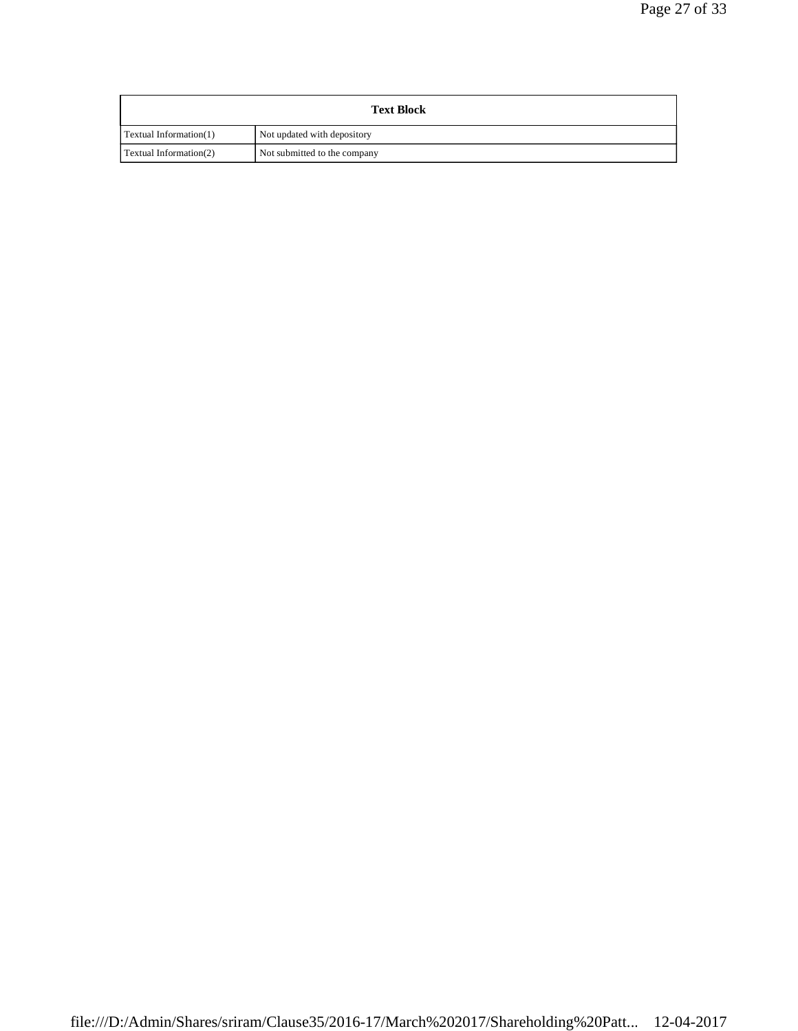| <b>Text Block</b>      |                              |  |
|------------------------|------------------------------|--|
| Textual Information(1) | Not updated with depository  |  |
| Textual Information(2) | Not submitted to the company |  |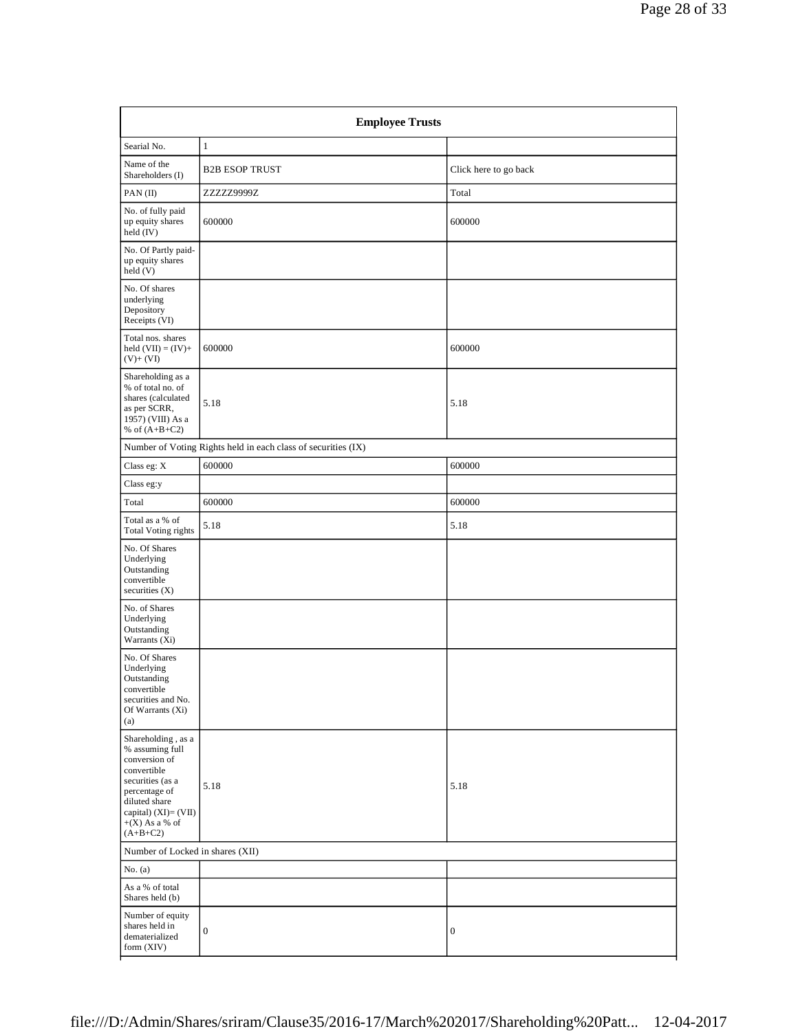|                                                                                                                                                                                        | <b>Employee Trusts</b>                                        |                       |
|----------------------------------------------------------------------------------------------------------------------------------------------------------------------------------------|---------------------------------------------------------------|-----------------------|
| Searial No.                                                                                                                                                                            | $\mathbf{1}$                                                  |                       |
| Name of the<br>Shareholders (I)                                                                                                                                                        | <b>B2B ESOP TRUST</b>                                         | Click here to go back |
| PAN(II)                                                                                                                                                                                | ZZZZZ9999Z                                                    | Total                 |
| No. of fully paid<br>up equity shares<br>held (IV)                                                                                                                                     | 600000                                                        | 600000                |
| No. Of Partly paid-<br>up equity shares<br>held(V)                                                                                                                                     |                                                               |                       |
| No. Of shares<br>underlying<br>Depository<br>Receipts (VI)                                                                                                                             |                                                               |                       |
| Total nos. shares<br>held $(VII) = (IV) +$<br>$(V)+(VI)$                                                                                                                               | 600000                                                        | 600000                |
| Shareholding as a<br>% of total no. of<br>shares (calculated<br>as per SCRR,<br>1957) (VIII) As a<br>% of $(A+B+C2)$                                                                   | 5.18                                                          | 5.18                  |
|                                                                                                                                                                                        | Number of Voting Rights held in each class of securities (IX) |                       |
| Class eg: $\mathbf X$                                                                                                                                                                  | 600000                                                        | 600000                |
| Class eg:y                                                                                                                                                                             |                                                               |                       |
| Total                                                                                                                                                                                  | 600000                                                        | 600000                |
| Total as a % of<br><b>Total Voting rights</b>                                                                                                                                          | 5.18                                                          | 5.18                  |
| No. Of Shares<br>Underlying<br>Outstanding<br>convertible<br>securities $(X)$                                                                                                          |                                                               |                       |
| No. of Shares<br>Underlying<br>Outstanding<br>Warrants (Xi)                                                                                                                            |                                                               |                       |
| No. Of Shares<br>Underlying<br>Outstanding<br>convertible<br>securities and No.<br>Of Warrants (Xi)<br>(a)                                                                             |                                                               |                       |
| Shareholding , as a<br>% assuming full<br>conversion of<br>convertible<br>securities (as a<br>percentage of<br>diluted share<br>capital) (XI)= (VII)<br>$+(X)$ As a % of<br>$(A+B+C2)$ | 5.18                                                          | 5.18                  |
| Number of Locked in shares (XII)                                                                                                                                                       |                                                               |                       |
| No. $(a)$                                                                                                                                                                              |                                                               |                       |
| As a % of total<br>Shares held (b)                                                                                                                                                     |                                                               |                       |
| Number of equity<br>shares held in<br>dematerialized<br>form $(XIV)$                                                                                                                   | $\mathbf{0}$                                                  | $\boldsymbol{0}$      |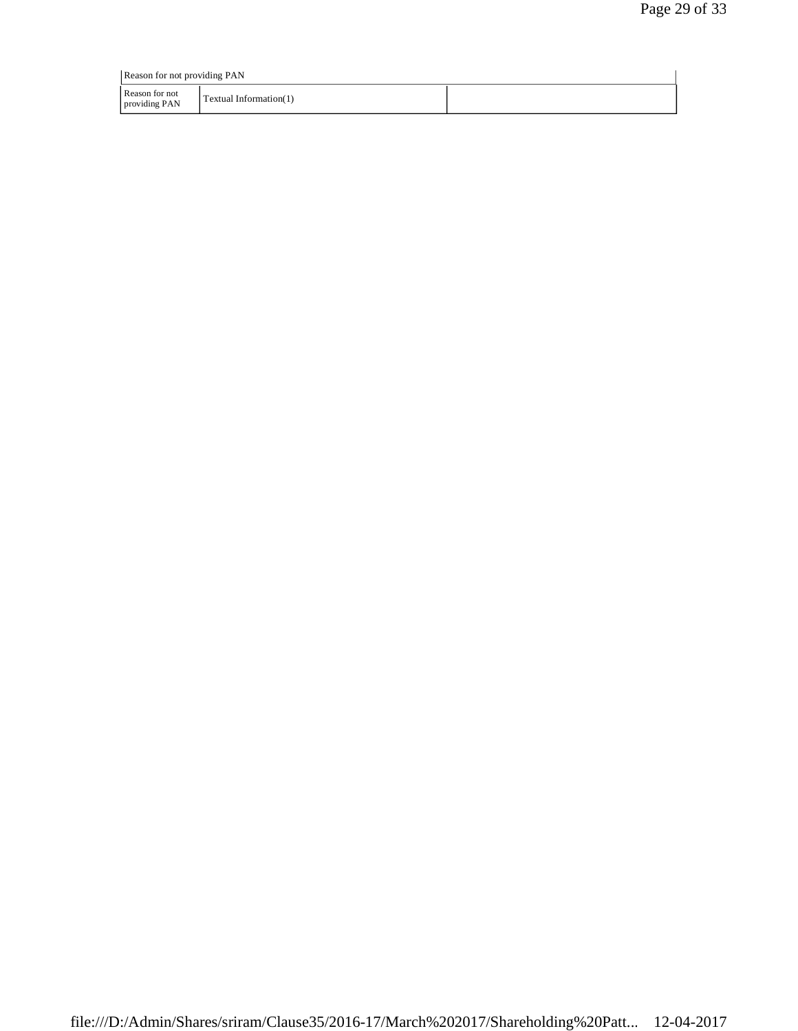| Reason for not providing PAN    |                        |  |  |
|---------------------------------|------------------------|--|--|
| Reason for not<br>providing PAN | Textual Information(1) |  |  |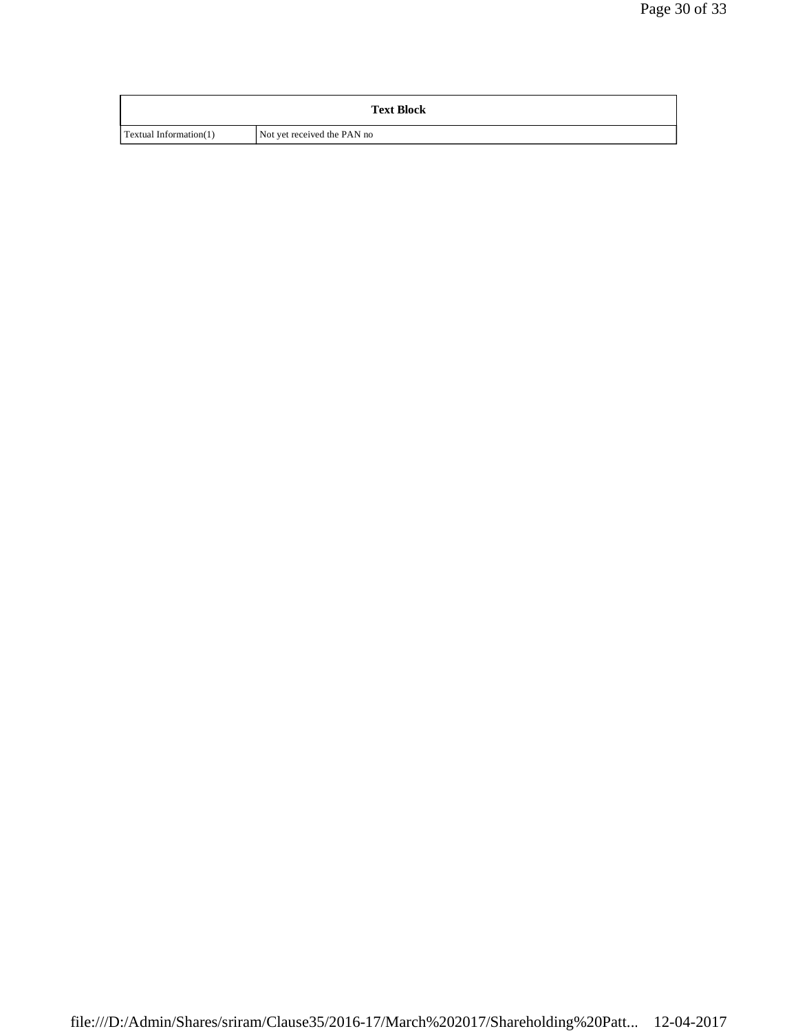| <b>Text Block</b>      |                             |  |  |
|------------------------|-----------------------------|--|--|
| Textual Information(1) | Not yet received the PAN no |  |  |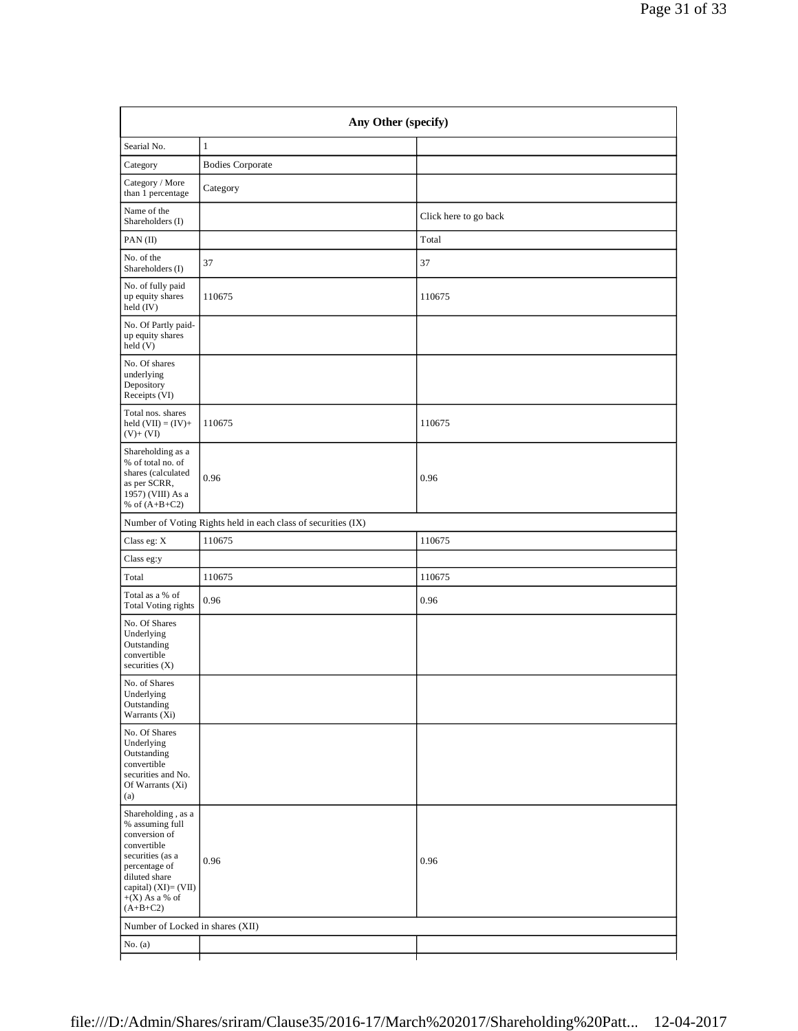|         | Page 31 of 33 |  |
|---------|---------------|--|
|         |               |  |
|         |               |  |
|         |               |  |
|         |               |  |
| go back |               |  |

| Searial No.                                                                                                                                                                              | $\mathbf{1}$                                                  |                       |
|------------------------------------------------------------------------------------------------------------------------------------------------------------------------------------------|---------------------------------------------------------------|-----------------------|
| Category                                                                                                                                                                                 | <b>Bodies Corporate</b>                                       |                       |
| Category / More<br>than 1 percentage                                                                                                                                                     | Category                                                      |                       |
| Name of the<br>Shareholders (I)                                                                                                                                                          |                                                               | Click here to go back |
| PAN(II)                                                                                                                                                                                  |                                                               | Total                 |
| No. of the<br>Shareholders (I)                                                                                                                                                           | 37                                                            | 37                    |
| No. of fully paid<br>up equity shares<br>held (IV)                                                                                                                                       | 110675                                                        | 110675                |
| No. Of Partly paid-<br>up equity shares<br>held (V)                                                                                                                                      |                                                               |                       |
| No. Of shares<br>underlying<br>Depository<br>Receipts (VI)                                                                                                                               |                                                               |                       |
| Total nos. shares<br>held $(VII) = (IV) +$<br>$(V)$ + $(VI)$                                                                                                                             | 110675                                                        | 110675                |
| Shareholding as a<br>% of total no. of<br>shares (calculated<br>as per SCRR,<br>1957) (VIII) As a<br>% of $(A+B+C2)$                                                                     | 0.96                                                          | 0.96                  |
|                                                                                                                                                                                          | Number of Voting Rights held in each class of securities (IX) |                       |
| Class eg: X                                                                                                                                                                              | 110675                                                        | 110675                |
| Class eg:y                                                                                                                                                                               |                                                               |                       |
| Total                                                                                                                                                                                    | 110675                                                        | 110675                |
| Total as a % of<br><b>Total Voting rights</b>                                                                                                                                            | 0.96                                                          | 0.96                  |
| No. Of Shares<br>Underlying<br>Outstanding<br>convertible<br>securities $(X)$                                                                                                            |                                                               |                       |
| No. of Shares<br>Underlying<br>Outstanding<br>Warrants (Xi)                                                                                                                              |                                                               |                       |
| No. Of Shares<br>Underlying<br>Outstanding<br>convertible<br>securities and No.<br>Of Warrants (Xi)<br>(a)                                                                               |                                                               |                       |
| Shareholding, as a<br>% assuming full<br>conversion of<br>convertible<br>securities (as a<br>percentage of<br>diluted share<br>capital) $(XI) = (VII)$<br>$+(X)$ As a % of<br>$(A+B+C2)$ | 0.96                                                          | 0.96                  |
| Number of Locked in shares (XII)                                                                                                                                                         |                                                               |                       |
| No. $(a)$                                                                                                                                                                                |                                                               |                       |
|                                                                                                                                                                                          |                                                               |                       |

**Any Other (specify)**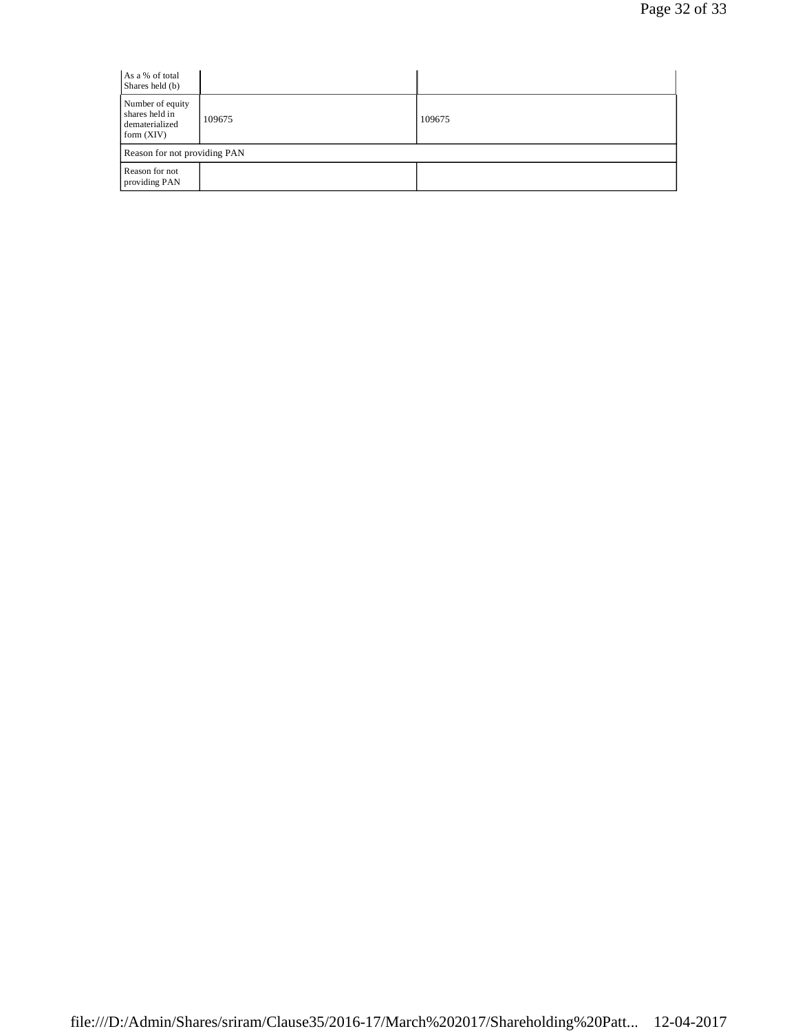| As a % of total<br>Shares held (b)                                   |        |        |  |
|----------------------------------------------------------------------|--------|--------|--|
| Number of equity<br>shares held in<br>dematerialized<br>form $(XIV)$ | 109675 | 109675 |  |
| Reason for not providing PAN                                         |        |        |  |
| Reason for not<br>providing PAN                                      |        |        |  |